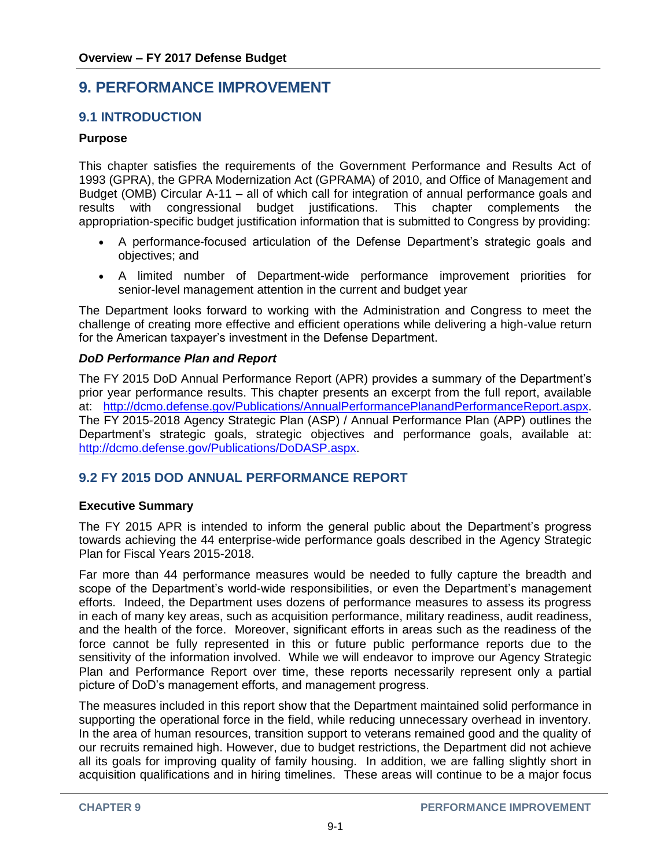# **9. PERFORMANCE IMPROVEMENT**

## **9.1 INTRODUCTION**

#### **Purpose**

This chapter satisfies the requirements of the Government Performance and Results Act of 1993 (GPRA), the GPRA Modernization Act (GPRAMA) of 2010, and Office of Management and Budget (OMB) Circular A-11 – all of which call for integration of annual performance goals and results with congressional budget justifications. This chapter complements the appropriation-specific budget justification information that is submitted to Congress by providing:

- A performance-focused articulation of the Defense Department's strategic goals and objectives; and
- A limited number of Department-wide performance improvement priorities for senior-level management attention in the current and budget year

The Department looks forward to working with the Administration and Congress to meet the challenge of creating more effective and efficient operations while delivering a high-value return for the American taxpayer's investment in the Defense Department.

#### *DoD Performance Plan and Report*

The FY 2015 DoD Annual Performance Report (APR) provides a summary of the Department's prior year performance results. This chapter presents an excerpt from the full report, available at: [http://dcmo.defense.gov/Publications/AnnualPerformancePlanandPerformanceReport.aspx.](http://dcmo.defense.gov/Publications/AnnualPerformancePlanandPerformanceReport.aspx) The FY 2015-2018 Agency Strategic Plan (ASP) / Annual Performance Plan (APP) outlines the Department's strategic goals, strategic objectives and performance goals, available at: [http://dcmo.defense.gov/Publications/DoDASP.aspx.](http://dcmo.defense.gov/Publications/DoDASP.aspx)

## **9.2 FY 2015 DOD ANNUAL PERFORMANCE REPORT**

#### **Executive Summary**

The FY 2015 APR is intended to inform the general public about the Department's progress towards achieving the 44 enterprise-wide performance goals described in the Agency Strategic Plan for Fiscal Years 2015-2018.

Far more than 44 performance measures would be needed to fully capture the breadth and scope of the Department's world-wide responsibilities, or even the Department's management efforts. Indeed, the Department uses dozens of performance measures to assess its progress in each of many key areas, such as acquisition performance, military readiness, audit readiness, and the health of the force. Moreover, significant efforts in areas such as the readiness of the force cannot be fully represented in this or future public performance reports due to the sensitivity of the information involved. While we will endeavor to improve our Agency Strategic Plan and Performance Report over time, these reports necessarily represent only a partial picture of DoD's management efforts, and management progress.

The measures included in this report show that the Department maintained solid performance in supporting the operational force in the field, while reducing unnecessary overhead in inventory. In the area of human resources, transition support to veterans remained good and the quality of our recruits remained high. However, due to budget restrictions, the Department did not achieve all its goals for improving quality of family housing. In addition, we are falling slightly short in acquisition qualifications and in hiring timelines. These areas will continue to be a major focus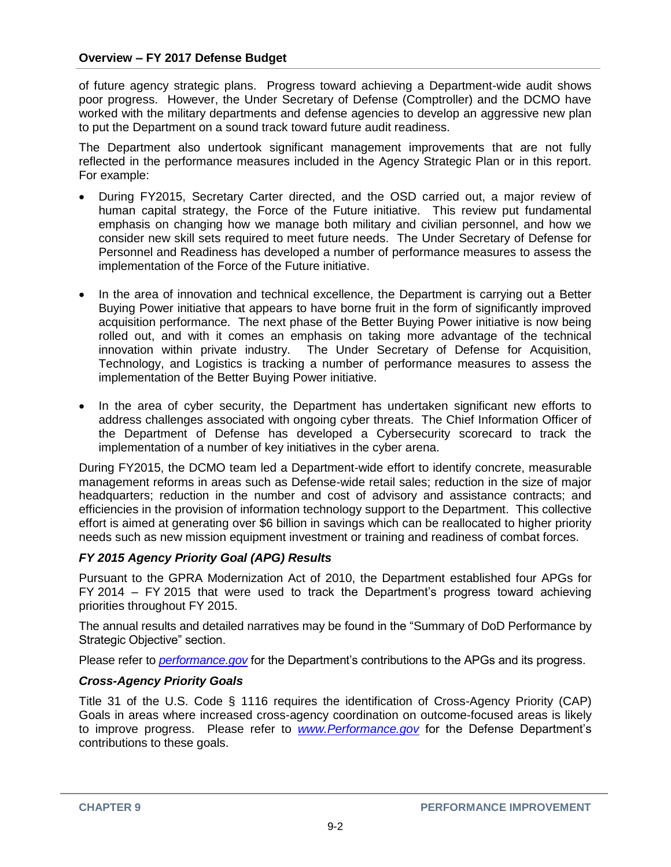of future agency strategic plans. Progress toward achieving a Department-wide audit shows poor progress. However, the Under Secretary of Defense (Comptroller) and the DCMO have worked with the military departments and defense agencies to develop an aggressive new plan to put the Department on a sound track toward future audit readiness.

The Department also undertook significant management improvements that are not fully reflected in the performance measures included in the Agency Strategic Plan or in this report. For example:

- During FY2015, Secretary Carter directed, and the OSD carried out, a major review of human capital strategy, the Force of the Future initiative. This review put fundamental emphasis on changing how we manage both military and civilian personnel, and how we consider new skill sets required to meet future needs. The Under Secretary of Defense for Personnel and Readiness has developed a number of performance measures to assess the implementation of the Force of the Future initiative.
- In the area of innovation and technical excellence, the Department is carrying out a Better Buying Power initiative that appears to have borne fruit in the form of significantly improved acquisition performance. The next phase of the Better Buying Power initiative is now being rolled out, and with it comes an emphasis on taking more advantage of the technical innovation within private industry. The Under Secretary of Defense for Acquisition, Technology, and Logistics is tracking a number of performance measures to assess the implementation of the Better Buying Power initiative.
- In the area of cyber security, the Department has undertaken significant new efforts to address challenges associated with ongoing cyber threats. The Chief Information Officer of the Department of Defense has developed a Cybersecurity scorecard to track the implementation of a number of key initiatives in the cyber arena.

During FY2015, the DCMO team led a Department-wide effort to identify concrete, measurable management reforms in areas such as Defense-wide retail sales; reduction in the size of major headquarters; reduction in the number and cost of advisory and assistance contracts; and efficiencies in the provision of information technology support to the Department. This collective effort is aimed at generating over \$6 billion in savings which can be reallocated to higher priority needs such as new mission equipment investment or training and readiness of combat forces.

## *FY 2015 Agency Priority Goal (APG) Results*

Pursuant to the GPRA Modernization Act of 2010, the Department established four APGs for FY 2014 – FY 2015 that were used to track the Department's progress toward achieving priorities throughout FY 2015.

The annual results and detailed narratives may be found in the "Summary of DoD Performance by Strategic Objective" section.

Please refer to *[performance.gov](http://www.performance.gov/clear_goals?page=1&stra_goal=0&prio_goal=1&fed_goal=0&goal_type=APG#goals)* for the Department's contributions to the APGs and its progress.

## *Cross-Agency Priority Goals*

Title 31 of the U.S. Code § 1116 requires the identification of Cross-Agency Priority (CAP) Goals in areas where increased cross-agency coordination on outcome-focused areas is likely to improve progress. Please refer to *[www.Performance.gov](http://www.performance.gov/)* for the Defense Department's contributions to these goals.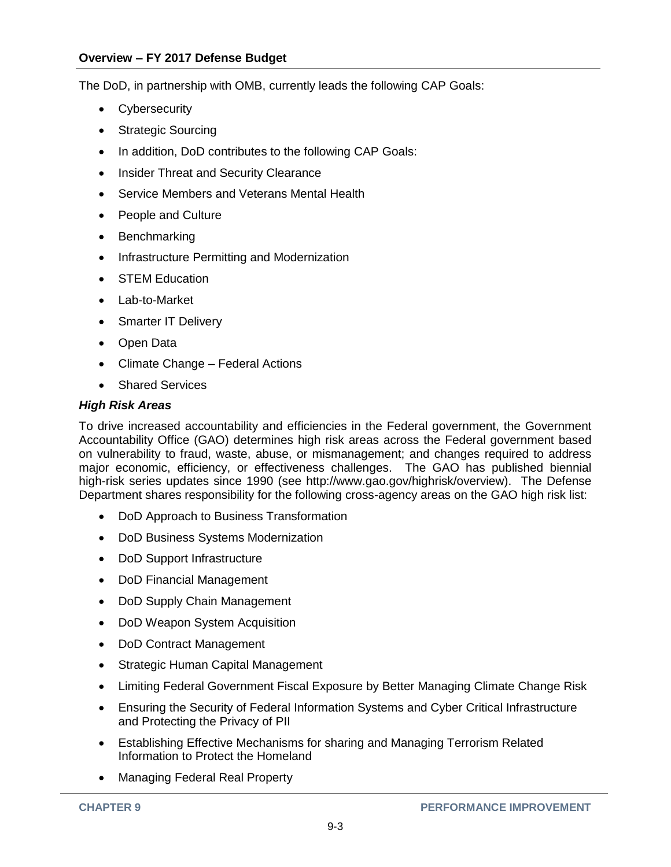The DoD, in partnership with OMB, currently leads the following CAP Goals:

- Cybersecurity
- Strategic Sourcing
- In addition, DoD contributes to the following CAP Goals:
- Insider Threat and Security Clearance
- Service Members and Veterans Mental Health
- People and Culture
- Benchmarking
- Infrastructure Permitting and Modernization
- **STEM Education**
- Lab-to-Market
- Smarter IT Delivery
- Open Data
- Climate Change Federal Actions
- Shared Services

#### *High Risk Areas*

To drive increased accountability and efficiencies in the Federal government, the Government Accountability Office (GAO) determines high risk areas across the Federal government based on vulnerability to fraud, waste, abuse, or mismanagement; and changes required to address major economic, efficiency, or effectiveness challenges. The GAO has published biennial high-risk series updates since 1990 (see http://www.gao.gov/highrisk/overview). The Defense Department shares responsibility for the following cross-agency areas on the GAO high risk list:

- DoD Approach to Business Transformation
- DoD Business Systems Modernization
- DoD Support Infrastructure
- DoD Financial Management
- DoD Supply Chain Management
- DoD Weapon System Acquisition
- DoD Contract Management
- Strategic Human Capital Management
- Limiting Federal Government Fiscal Exposure by Better Managing Climate Change Risk
- Ensuring the Security of Federal Information Systems and Cyber Critical Infrastructure and Protecting the Privacy of PII
- Establishing Effective Mechanisms for sharing and Managing Terrorism Related Information to Protect the Homeland
- Managing Federal Real Property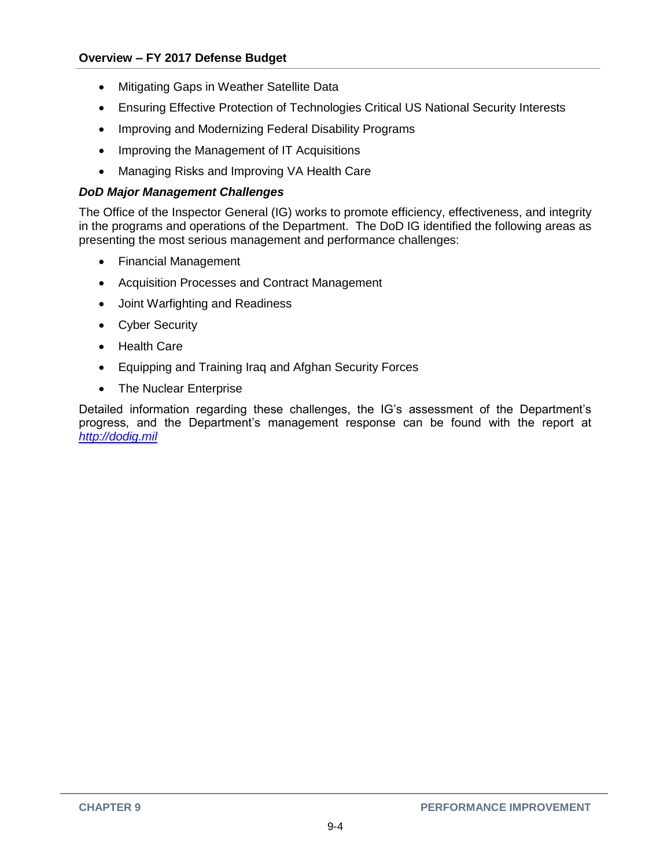- Mitigating Gaps in Weather Satellite Data
- Ensuring Effective Protection of Technologies Critical US National Security Interests
- Improving and Modernizing Federal Disability Programs
- Improving the Management of IT Acquisitions
- Managing Risks and Improving VA Health Care

## *DoD Major Management Challenges*

The Office of the Inspector General (IG) works to promote efficiency, effectiveness, and integrity in the programs and operations of the Department. The DoD IG identified the following areas as presenting the most serious management and performance challenges:

- Financial Management
- Acquisition Processes and Contract Management
- Joint Warfighting and Readiness
- Cyber Security
- Health Care
- Equipping and Training Iraq and Afghan Security Forces
- The Nuclear Enterprise

Detailed information regarding these challenges, the IG's assessment of the Department's progress, and the Department's management response can be found with the report at *[http://dodig.mil](http://dodig.mil/)*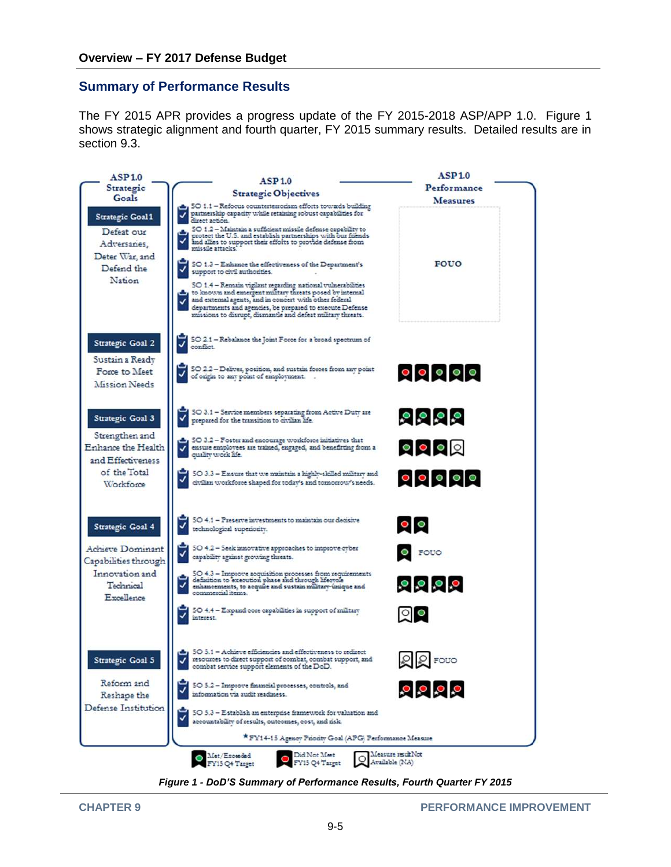## **Summary of Performance Results**

The FY 2015 APR provides a progress update of the FY 2015-2018 ASP/APP 1.0. Figure 1 shows strategic alignment and fourth quarter, FY 2015 summary results. Detailed results are in section 9.3.



*Figure 1 - DoD'S Summary of Performance Results, Fourth Quarter FY 2015*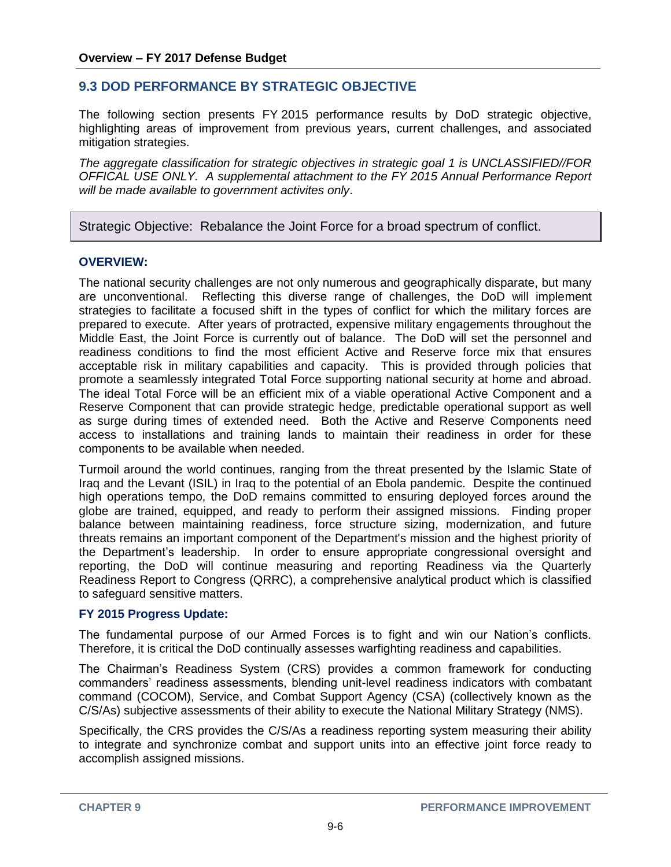## **9.3 DOD PERFORMANCE BY STRATEGIC OBJECTIVE**

The following section presents FY 2015 performance results by DoD strategic objective, highlighting areas of improvement from previous years, current challenges, and associated mitigation strategies.

*The aggregate classification for strategic objectives in strategic goal 1 is UNCLASSIFIED//FOR OFFICAL USE ONLY. A supplemental attachment to the FY 2015 Annual Performance Report will be made available to government activites only*.

Strategic Objective: Rebalance the Joint Force for a broad spectrum of conflict.

#### **OVERVIEW:**

The national security challenges are not only numerous and geographically disparate, but many are unconventional. Reflecting this diverse range of challenges, the DoD will implement strategies to facilitate a focused shift in the types of conflict for which the military forces are prepared to execute. After years of protracted, expensive military engagements throughout the Middle East, the Joint Force is currently out of balance. The DoD will set the personnel and readiness conditions to find the most efficient Active and Reserve force mix that ensures acceptable risk in military capabilities and capacity. This is provided through policies that promote a seamlessly integrated Total Force supporting national security at home and abroad. The ideal Total Force will be an efficient mix of a viable operational Active Component and a Reserve Component that can provide strategic hedge, predictable operational support as well as surge during times of extended need. Both the Active and Reserve Components need access to installations and training lands to maintain their readiness in order for these components to be available when needed.

Turmoil around the world continues, ranging from the threat presented by the Islamic State of Iraq and the Levant (ISIL) in Iraq to the potential of an Ebola pandemic. Despite the continued high operations tempo, the DoD remains committed to ensuring deployed forces around the globe are trained, equipped, and ready to perform their assigned missions. Finding proper balance between maintaining readiness, force structure sizing, modernization, and future threats remains an important component of the Department's mission and the highest priority of the Department's leadership. In order to ensure appropriate congressional oversight and reporting, the DoD will continue measuring and reporting Readiness via the Quarterly Readiness Report to Congress (QRRC), a comprehensive analytical product which is classified to safeguard sensitive matters.

#### **FY 2015 Progress Update:**

The fundamental purpose of our Armed Forces is to fight and win our Nation's conflicts. Therefore, it is critical the DoD continually assesses warfighting readiness and capabilities.

The Chairman's Readiness System (CRS) provides a common framework for conducting commanders' readiness assessments, blending unit-level readiness indicators with combatant command (COCOM), Service, and Combat Support Agency (CSA) (collectively known as the C/S/As) subjective assessments of their ability to execute the National Military Strategy (NMS).

Specifically, the CRS provides the C/S/As a readiness reporting system measuring their ability to integrate and synchronize combat and support units into an effective joint force ready to accomplish assigned missions.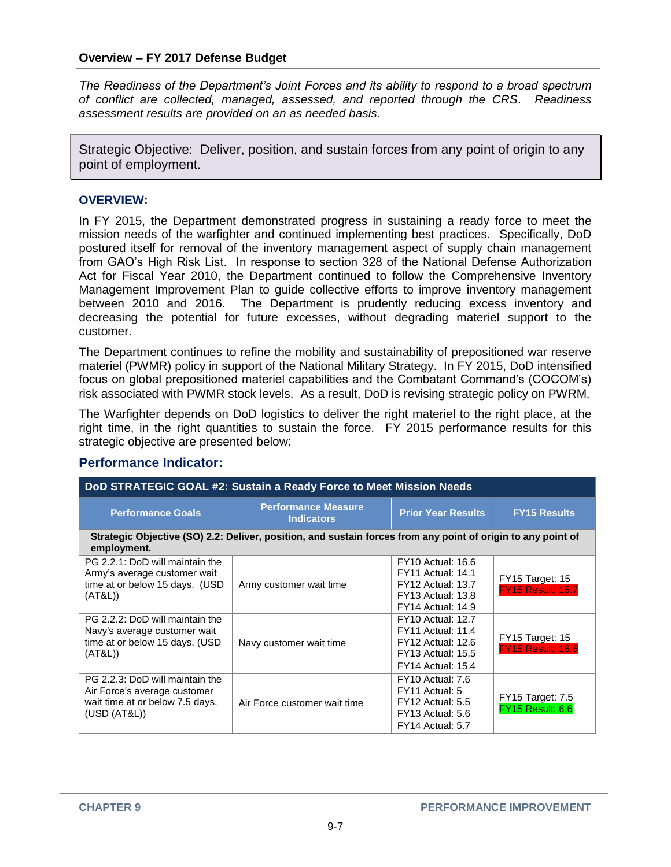*The Readiness of the Department's Joint Forces and its ability to respond to a broad spectrum of conflict are collected, managed, assessed, and reported through the CRS*. *Readiness assessment results are provided on an as needed basis.*

Strategic Objective: Deliver, position, and sustain forces from any point of origin to any point of employment.

#### **OVERVIEW:**

In FY 2015, the Department demonstrated progress in sustaining a ready force to meet the mission needs of the warfighter and continued implementing best practices. Specifically, DoD postured itself for removal of the inventory management aspect of supply chain management from GAO's High Risk List. In response to section 328 of the National Defense Authorization Act for Fiscal Year 2010, the Department continued to follow the Comprehensive Inventory Management Improvement Plan to guide collective efforts to improve inventory management between 2010 and 2016. The Department is prudently reducing excess inventory and decreasing the potential for future excesses, without degrading materiel support to the customer.

The Department continues to refine the mobility and sustainability of prepositioned war reserve materiel (PWMR) policy in support of the National Military Strategy. In FY 2015, DoD intensified focus on global prepositioned materiel capabilities and the Combatant Command's (COCOM's) risk associated with PWMR stock levels. As a result, DoD is revising strategic policy on PWRM.

The Warfighter depends on DoD logistics to deliver the right materiel to the right place, at the right time, in the right quantities to sustain the force. FY 2015 performance results for this strategic objective are presented below:

#### **Performance Indicator:**

| DoD STRATEGIC GOAL #2: Sustain a Ready Force to Meet Mission Needs                                                 |                                                                                                              |                                                                                                                                          |                                             |
|--------------------------------------------------------------------------------------------------------------------|--------------------------------------------------------------------------------------------------------------|------------------------------------------------------------------------------------------------------------------------------------------|---------------------------------------------|
| <b>Performance Goals</b>                                                                                           | <b>Performance Measure</b><br><b>Indicators</b>                                                              | <b>Prior Year Results</b>                                                                                                                | <b>FY15 Results</b>                         |
| employment.                                                                                                        | Strategic Objective (SO) 2.2: Deliver, position, and sustain forces from any point of origin to any point of |                                                                                                                                          |                                             |
| PG 2.2.1: DoD will maintain the<br>Army's average customer wait<br>time at or below 15 days. (USD<br>(AT&L))       | Army customer wait time                                                                                      | <b>FY10 Actual: 16.6</b><br><b>FY11 Actual: 14.1</b><br><b>FY12 Actual: 13.7</b><br><b>FY13 Actual: 13.8</b><br><b>FY14 Actual: 14.9</b> | FY15 Target: 15<br><b>FY15 Result: 15.7</b> |
| PG 2.2.2: DoD will maintain the<br>Navy's average customer wait<br>time at or below 15 days. (USD<br>(AT&L))       | Navy customer wait time                                                                                      | <b>FY10 Actual: 12.7</b><br><b>FY11 Actual: 11.4</b><br><b>FY12 Actual: 12.6</b><br><b>FY13 Actual: 15.5</b><br><b>FY14 Actual: 15.4</b> | FY15 Target: 15<br><b>FY15 Result: 16.6</b> |
| PG 2.2.3: DoD will maintain the<br>Air Force's average customer<br>wait time at or below 7.5 days.<br>(USD (AT&L)) | Air Force customer wait time                                                                                 | FY10 Actual: 7.6<br>FY11 Actual: 5<br>FY12 Actual: 5.5<br>FY13 Actual: 5.6<br>FY14 Actual: 5.7                                           | <b>FY15 Target: 7.5</b><br>FY15 Result: 6.6 |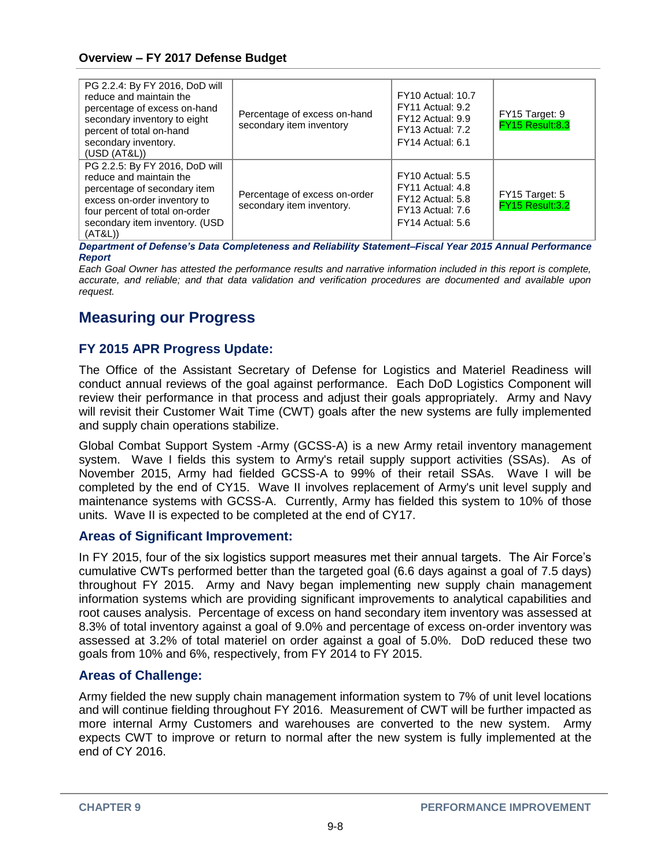| PG 2.2.4: By FY 2016, DoD will<br>reduce and maintain the<br>percentage of excess on-hand<br>secondary inventory to eight<br>percent of total on-hand<br>secondary inventory.<br>(USD (AT&L))            | Percentage of excess on-hand<br>secondary item inventory   | <b>FY10 Actual: 10.7</b><br>FY11 Actual: 9.2<br>FY12 Actual: 9.9<br>FY13 Actual: 7.2<br>FY14 Actual: 6.1 | FY15 Target: 9<br>FY15 Result:8.3 |
|----------------------------------------------------------------------------------------------------------------------------------------------------------------------------------------------------------|------------------------------------------------------------|----------------------------------------------------------------------------------------------------------|-----------------------------------|
| PG 2.2.5: By FY 2016, DoD will<br>reduce and maintain the<br>percentage of secondary item<br>excess on-order inventory to<br>four percent of total on-order<br>secondary item inventory. (USD<br>(AT&L)) | Percentage of excess on-order<br>secondary item inventory. | FY10 Actual: 5.5<br>FY11 Actual: 4.8<br>FY12 Actual: 5.8<br>FY13 Actual: 7.6<br>FY14 Actual: 5.6         | FY15 Target: 5<br>FY15 Result:3.2 |

*Department of Defense's Data Completeness and Reliability Statement–Fiscal Year 2015 Annual Performance Report*

*Each Goal Owner has attested the performance results and narrative information included in this report is complete, accurate, and reliable; and that data validation and verification procedures are documented and available upon request.*

# **Measuring our Progress**

## **FY 2015 APR Progress Update:**

The Office of the Assistant Secretary of Defense for Logistics and Materiel Readiness will conduct annual reviews of the goal against performance. Each DoD Logistics Component will review their performance in that process and adjust their goals appropriately. Army and Navy will revisit their Customer Wait Time (CWT) goals after the new systems are fully implemented and supply chain operations stabilize.

Global Combat Support System -Army (GCSS-A) is a new Army retail inventory management system. Wave I fields this system to Army's retail supply support activities (SSAs). As of November 2015, Army had fielded GCSS-A to 99% of their retail SSAs. Wave I will be completed by the end of CY15. Wave II involves replacement of Army's unit level supply and maintenance systems with GCSS-A. Currently, Army has fielded this system to 10% of those units. Wave II is expected to be completed at the end of CY17.

## **Areas of Significant Improvement:**

In FY 2015, four of the six logistics support measures met their annual targets. The Air Force's cumulative CWTs performed better than the targeted goal (6.6 days against a goal of 7.5 days) throughout FY 2015. Army and Navy began implementing new supply chain management information systems which are providing significant improvements to analytical capabilities and root causes analysis. Percentage of excess on hand secondary item inventory was assessed at 8.3% of total inventory against a goal of 9.0% and percentage of excess on-order inventory was assessed at 3.2% of total materiel on order against a goal of 5.0%. DoD reduced these two goals from 10% and 6%, respectively, from FY 2014 to FY 2015.

## **Areas of Challenge:**

Army fielded the new supply chain management information system to 7% of unit level locations and will continue fielding throughout FY 2016. Measurement of CWT will be further impacted as more internal Army Customers and warehouses are converted to the new system. Army expects CWT to improve or return to normal after the new system is fully implemented at the end of CY 2016.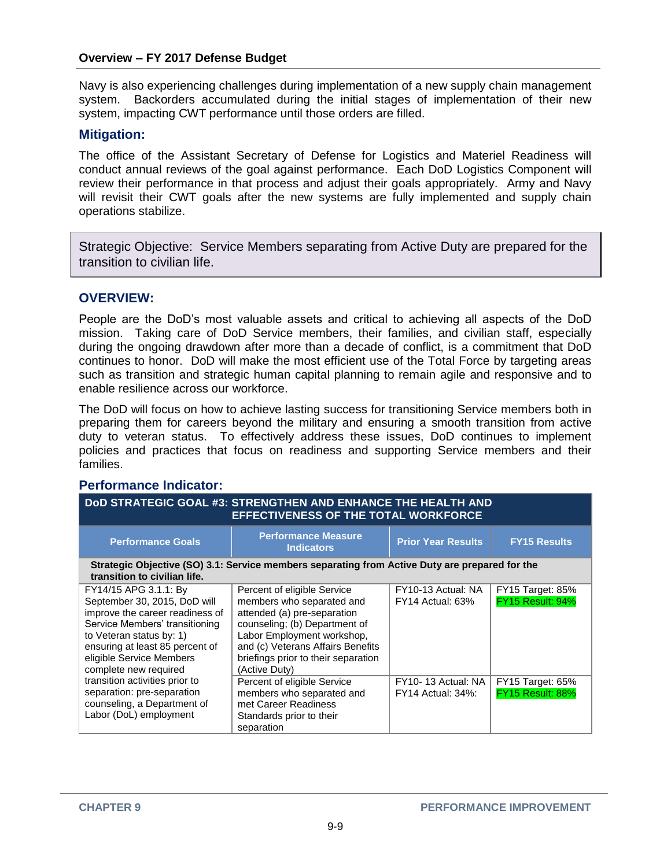Navy is also experiencing challenges during implementation of a new supply chain management system. Backorders accumulated during the initial stages of implementation of their new system, impacting CWT performance until those orders are filled.

### **Mitigation:**

The office of the Assistant Secretary of Defense for Logistics and Materiel Readiness will conduct annual reviews of the goal against performance. Each DoD Logistics Component will review their performance in that process and adjust their goals appropriately. Army and Navy will revisit their CWT goals after the new systems are fully implemented and supply chain operations stabilize.

Strategic Objective: Service Members separating from Active Duty are prepared for the transition to civilian life.

### **OVERVIEW:**

People are the DoD's most valuable assets and critical to achieving all aspects of the DoD mission. Taking care of DoD Service members, their families, and civilian staff, especially during the ongoing drawdown after more than a decade of conflict, is a commitment that DoD continues to honor. DoD will make the most efficient use of the Total Force by targeting areas such as transition and strategic human capital planning to remain agile and responsive and to enable resilience across our workforce.

The DoD will focus on how to achieve lasting success for transitioning Service members both in preparing them for careers beyond the military and ensuring a smooth transition from active duty to veteran status. To effectively address these issues, DoD continues to implement policies and practices that focus on readiness and supporting Service members and their families.

#### **Performance Indicator:**

| DOD STRATEGIC GOAL #3: STRENGTHEN AND ENHANCE THE HEALTH AND<br><b>EFFECTIVENESS OF THE TOTAL WORKFORCE</b>                                                                                                                                    |                                                                                                                                                                                                                                                     |                                                |                                             |
|------------------------------------------------------------------------------------------------------------------------------------------------------------------------------------------------------------------------------------------------|-----------------------------------------------------------------------------------------------------------------------------------------------------------------------------------------------------------------------------------------------------|------------------------------------------------|---------------------------------------------|
| <b>Performance Goals</b>                                                                                                                                                                                                                       | <b>Performance Measure</b><br><b>Indicators</b>                                                                                                                                                                                                     | <b>Prior Year Results</b>                      | <b>FY15 Results</b>                         |
| transition to civilian life.                                                                                                                                                                                                                   | Strategic Objective (SO) 3.1: Service members separating from Active Duty are prepared for the                                                                                                                                                      |                                                |                                             |
| FY14/15 APG 3.1.1: By<br>September 30, 2015, DoD will<br>improve the career readiness of<br>Service Members' transitioning<br>to Veteran status by: 1)<br>ensuring at least 85 percent of<br>eligible Service Members<br>complete new required | Percent of eligible Service<br>members who separated and<br>attended (a) pre-separation<br>counseling; (b) Department of<br>Labor Employment workshop,<br>and (c) Veterans Affairs Benefits<br>briefings prior to their separation<br>(Active Duty) | FY10-13 Actual: NA<br>FY14 Actual: 63%         | FY15 Target: 85%<br>FY15 Result: 94%        |
| transition activities prior to<br>separation: pre-separation<br>counseling, a Department of<br>Labor (DoL) employment                                                                                                                          | Percent of eligible Service<br>members who separated and<br>met Career Readiness<br>Standards prior to their<br>separation                                                                                                                          | FY10-13 Actual: NA<br><b>FY14 Actual: 34%:</b> | <b>FY15 Target: 65%</b><br>FY15 Result: 88% |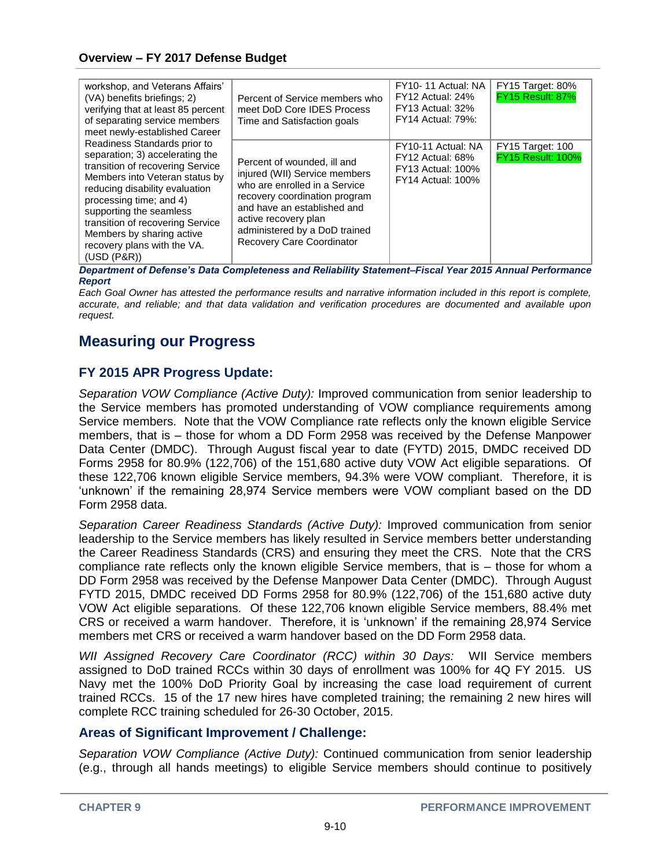| workshop, and Veterans Affairs'<br>(VA) benefits briefings; 2)<br>verifying that at least 85 percent<br>of separating service members<br>meet newly-established Career                                                                                                                                                                       | Percent of Service members who<br>meet DoD Core IDES Process<br>Time and Satisfaction goals                                                                                                                                                                | FY10-11 Actual: NA<br>FY12 Actual: 24%<br>FY13 Actual: 32%<br><b>FY14 Actual: 79%:</b>         | FY15 Target: 80%<br><b>FY15 Result: 87%</b>  |
|----------------------------------------------------------------------------------------------------------------------------------------------------------------------------------------------------------------------------------------------------------------------------------------------------------------------------------------------|------------------------------------------------------------------------------------------------------------------------------------------------------------------------------------------------------------------------------------------------------------|------------------------------------------------------------------------------------------------|----------------------------------------------|
| Readiness Standards prior to<br>separation; 3) accelerating the<br>transition of recovering Service<br>Members into Veteran status by<br>reducing disability evaluation<br>processing time; and 4)<br>supporting the seamless<br>transition of recovering Service<br>Members by sharing active<br>recovery plans with the VA.<br>(USD (P&R)) | Percent of wounded, ill and<br>injured (WII) Service members<br>who are enrolled in a Service<br>recovery coordination program<br>and have an established and<br>active recovery plan<br>administered by a DoD trained<br><b>Recovery Care Coordinator</b> | FY10-11 Actual: NA<br>FY12 Actual: 68%<br><b>FY13 Actual: 100%</b><br><b>FY14 Actual: 100%</b> | FY15 Target: 100<br><b>FY15 Result: 100%</b> |

*Department of Defense's Data Completeness and Reliability Statement–Fiscal Year 2015 Annual Performance Report*

*Each Goal Owner has attested the performance results and narrative information included in this report is complete, accurate, and reliable; and that data validation and verification procedures are documented and available upon request.*

## **Measuring our Progress**

## **FY 2015 APR Progress Update:**

*Separation VOW Compliance (Active Duty):* Improved communication from senior leadership to the Service members has promoted understanding of VOW compliance requirements among Service members. Note that the VOW Compliance rate reflects only the known eligible Service members, that is – those for whom a DD Form 2958 was received by the Defense Manpower Data Center (DMDC). Through August fiscal year to date (FYTD) 2015, DMDC received DD Forms 2958 for 80.9% (122,706) of the 151,680 active duty VOW Act eligible separations. Of these 122,706 known eligible Service members, 94.3% were VOW compliant. Therefore, it is 'unknown' if the remaining 28,974 Service members were VOW compliant based on the DD Form 2958 data.

*Separation Career Readiness Standards (Active Duty):* Improved communication from senior leadership to the Service members has likely resulted in Service members better understanding the Career Readiness Standards (CRS) and ensuring they meet the CRS. Note that the CRS compliance rate reflects only the known eligible Service members, that is – those for whom a DD Form 2958 was received by the Defense Manpower Data Center (DMDC). Through August FYTD 2015, DMDC received DD Forms 2958 for 80.9% (122,706) of the 151,680 active duty VOW Act eligible separations. Of these 122,706 known eligible Service members, 88.4% met CRS or received a warm handover. Therefore, it is 'unknown' if the remaining 28,974 Service members met CRS or received a warm handover based on the DD Form 2958 data.

*WII Assigned Recovery Care Coordinator (RCC) within 30 Days:* WII Service members assigned to DoD trained RCCs within 30 days of enrollment was 100% for 4Q FY 2015. US Navy met the 100% DoD Priority Goal by increasing the case load requirement of current trained RCCs. 15 of the 17 new hires have completed training; the remaining 2 new hires will complete RCC training scheduled for 26-30 October, 2015.

## **Areas of Significant Improvement / Challenge:**

*Separation VOW Compliance (Active Duty):* Continued communication from senior leadership (e.g., through all hands meetings) to eligible Service members should continue to positively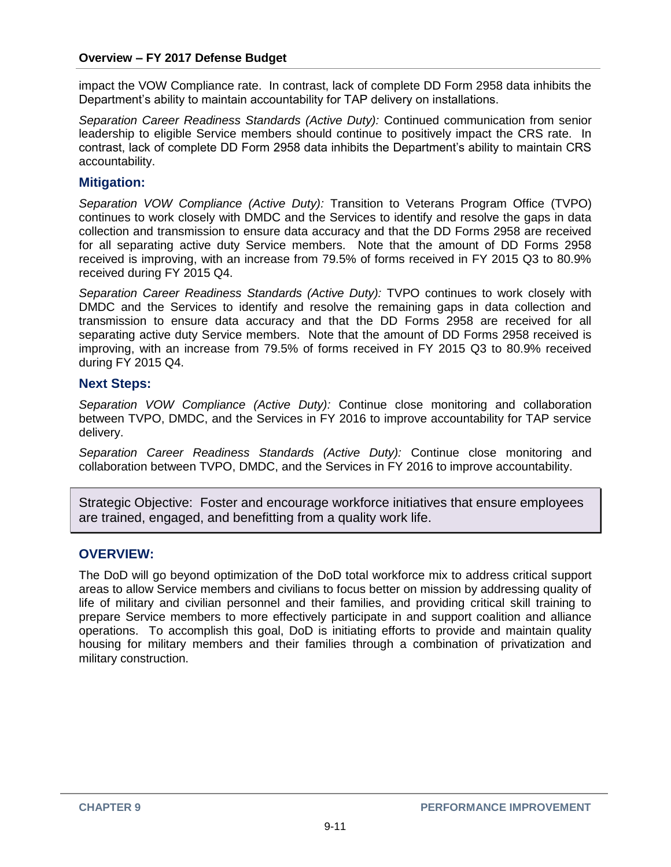impact the VOW Compliance rate. In contrast, lack of complete DD Form 2958 data inhibits the Department's ability to maintain accountability for TAP delivery on installations.

*Separation Career Readiness Standards (Active Duty):* Continued communication from senior leadership to eligible Service members should continue to positively impact the CRS rate. In contrast, lack of complete DD Form 2958 data inhibits the Department's ability to maintain CRS accountability.

## **Mitigation:**

*Separation VOW Compliance (Active Duty):* Transition to Veterans Program Office (TVPO) continues to work closely with DMDC and the Services to identify and resolve the gaps in data collection and transmission to ensure data accuracy and that the DD Forms 2958 are received for all separating active duty Service members. Note that the amount of DD Forms 2958 received is improving, with an increase from 79.5% of forms received in FY 2015 Q3 to 80.9% received during FY 2015 Q4.

*Separation Career Readiness Standards (Active Duty):* TVPO continues to work closely with DMDC and the Services to identify and resolve the remaining gaps in data collection and transmission to ensure data accuracy and that the DD Forms 2958 are received for all separating active duty Service members. Note that the amount of DD Forms 2958 received is improving, with an increase from 79.5% of forms received in FY 2015 Q3 to 80.9% received during FY 2015 Q4.

## **Next Steps:**

*Separation VOW Compliance (Active Duty):* Continue close monitoring and collaboration between TVPO, DMDC, and the Services in FY 2016 to improve accountability for TAP service delivery.

*Separation Career Readiness Standards (Active Duty):* Continue close monitoring and collaboration between TVPO, DMDC, and the Services in FY 2016 to improve accountability.

Strategic Objective: Foster and encourage workforce initiatives that ensure employees are trained, engaged, and benefitting from a quality work life.

## **OVERVIEW:**

The DoD will go beyond optimization of the DoD total workforce mix to address critical support areas to allow Service members and civilians to focus better on mission by addressing quality of life of military and civilian personnel and their families, and providing critical skill training to prepare Service members to more effectively participate in and support coalition and alliance operations. To accomplish this goal, DoD is initiating efforts to provide and maintain quality housing for military members and their families through a combination of privatization and military construction.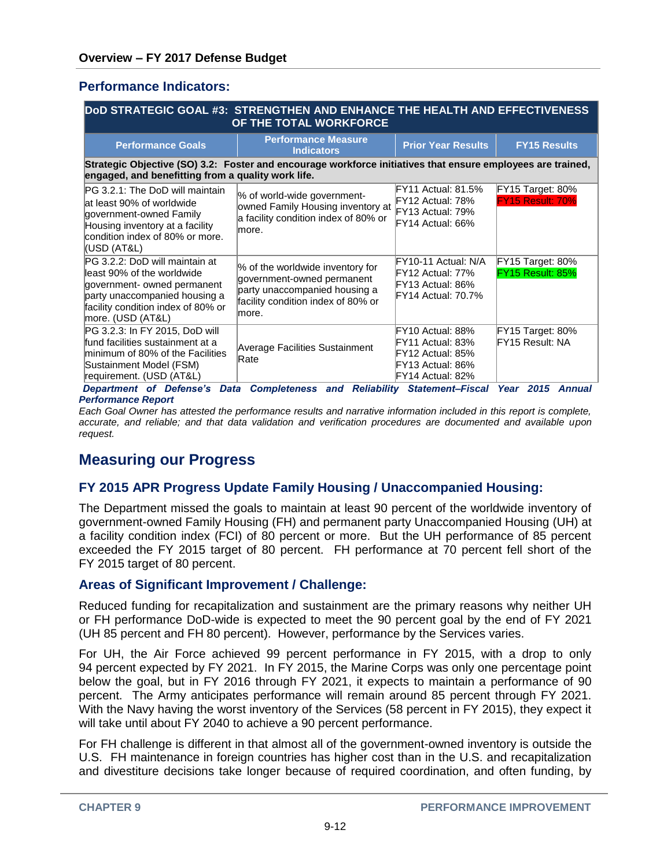### **Performance Indicators:**

| DoD STRATEGIC GOAL #3: STRENGTHEN AND ENHANCE THE HEALTH AND EFFECTIVENESS<br>OF THE TOTAL WORKFORCE                                                                                             |                                                                                                                                                 |                                                                                                                             |                                                                          |
|--------------------------------------------------------------------------------------------------------------------------------------------------------------------------------------------------|-------------------------------------------------------------------------------------------------------------------------------------------------|-----------------------------------------------------------------------------------------------------------------------------|--------------------------------------------------------------------------|
| <b>Performance Goals</b>                                                                                                                                                                         | <b>Performance Measure</b><br><b>Indicators</b>                                                                                                 | <b>Prior Year Results</b>                                                                                                   | <b>FY15 Results</b>                                                      |
| engaged, and benefitting from a quality work life.                                                                                                                                               | Strategic Objective (SO) 3.2: Foster and encourage workforce initiatives that ensure employees are trained,                                     |                                                                                                                             |                                                                          |
| PG 3.2.1: The DoD will maintain<br>at least 90% of worldwide<br>government-owned Family<br>Housing inventory at a facility<br>condition index of 80% or more.<br>(USD (AT&L)                     | % of world-wide government-<br>owned Family Housing inventory at<br>a facility condition index of 80% or<br>lmore.                              | FY11 Actual: 81.5%<br>FY12 Actual: 78%<br>FY13 Actual: 79%<br>FY14 Actual: 66%                                              | FY15 Target: 80%<br><b>FY15 Result: 70%</b>                              |
| PG 3.2.2: DoD will maintain at<br>lleast 90% of the worldwide<br>government- owned permanent<br>party unaccompanied housing a<br>facility condition index of 80% or<br>more. (USD (AT&L)         | % of the worldwide inventory for<br>government-owned permanent<br>party unaccompanied housing a<br>facility condition index of 80% or<br>lmore. | FY10-11 Actual: N/A<br>FY12 Actual: 77%<br>FY13 Actual: 86%<br>FY14 Actual: 70.7%                                           | FY15 Target: 80%<br>FY15 Result: 85%                                     |
| PG 3.2.3: In FY 2015, DoD will<br>fund facilities sustainment at a<br>minimum of 80% of the Facilities<br>Sustainment Model (FSM)<br>requirement. (USD (AT&L)<br>Department of Defense's<br>Data | Average Facilities Sustainment<br>Rate<br><b>Completeness and Reliability</b>                                                                   | FY10 Actual: 88%<br>FY11 Actual: 83%<br>FY12 Actual: 85%<br>FY13 Actual: 86%<br>FY14 Actual: 82%<br><b>Statement-Fiscal</b> | FY15 Target: 80%<br>FY15 Result: NA<br><b>Year 2015</b><br><b>Annual</b> |

#### *Performance Report*

*Each Goal Owner has attested the performance results and narrative information included in this report is complete, accurate, and reliable; and that data validation and verification procedures are documented and available upon request.*

## **Measuring our Progress**

## **FY 2015 APR Progress Update Family Housing / Unaccompanied Housing:**

The Department missed the goals to maintain at least 90 percent of the worldwide inventory of government-owned Family Housing (FH) and permanent party Unaccompanied Housing (UH) at a facility condition index (FCI) of 80 percent or more. But the UH performance of 85 percent exceeded the FY 2015 target of 80 percent. FH performance at 70 percent fell short of the FY 2015 target of 80 percent.

#### **Areas of Significant Improvement / Challenge:**

Reduced funding for recapitalization and sustainment are the primary reasons why neither UH or FH performance DoD-wide is expected to meet the 90 percent goal by the end of FY 2021 (UH 85 percent and FH 80 percent). However, performance by the Services varies.

For UH, the Air Force achieved 99 percent performance in FY 2015, with a drop to only 94 percent expected by FY 2021. In FY 2015, the Marine Corps was only one percentage point below the goal, but in FY 2016 through FY 2021, it expects to maintain a performance of 90 percent. The Army anticipates performance will remain around 85 percent through FY 2021. With the Navy having the worst inventory of the Services (58 percent in FY 2015), they expect it will take until about FY 2040 to achieve a 90 percent performance.

For FH challenge is different in that almost all of the government-owned inventory is outside the U.S. FH maintenance in foreign countries has higher cost than in the U.S. and recapitalization and divestiture decisions take longer because of required coordination, and often funding, by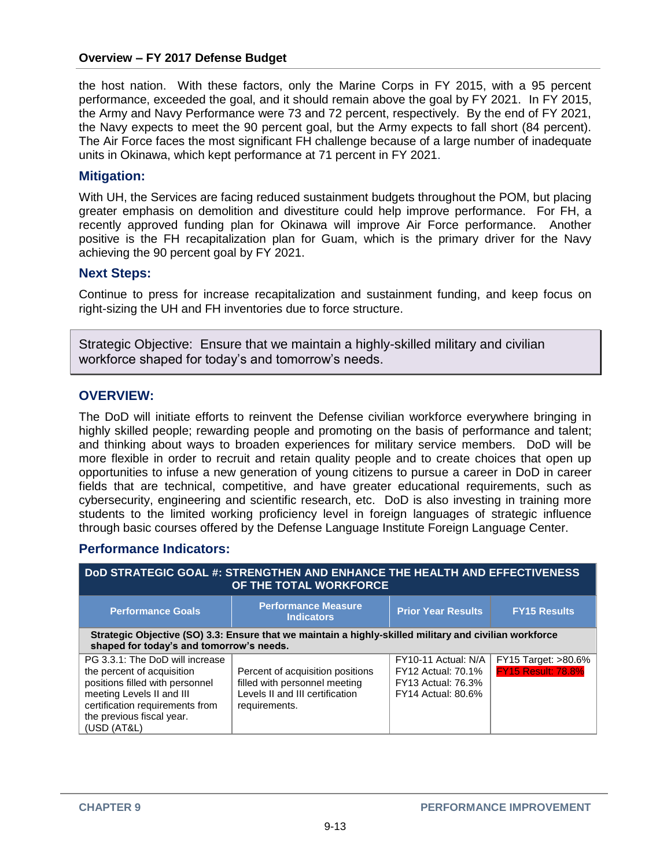the host nation. With these factors, only the Marine Corps in FY 2015, with a 95 percent performance, exceeded the goal, and it should remain above the goal by FY 2021. In FY 2015, the Army and Navy Performance were 73 and 72 percent, respectively. By the end of FY 2021, the Navy expects to meet the 90 percent goal, but the Army expects to fall short (84 percent). The Air Force faces the most significant FH challenge because of a large number of inadequate units in Okinawa, which kept performance at 71 percent in FY 2021.

#### **Mitigation:**

With UH, the Services are facing reduced sustainment budgets throughout the POM, but placing greater emphasis on demolition and divestiture could help improve performance. For FH, a recently approved funding plan for Okinawa will improve Air Force performance. Another positive is the FH recapitalization plan for Guam, which is the primary driver for the Navy achieving the 90 percent goal by FY 2021.

#### **Next Steps:**

Continue to press for increase recapitalization and sustainment funding, and keep focus on right-sizing the UH and FH inventories due to force structure.

Strategic Objective: Ensure that we maintain a highly-skilled military and civilian workforce shaped for today's and tomorrow's needs.

#### **OVERVIEW:**

The DoD will initiate efforts to reinvent the Defense civilian workforce everywhere bringing in highly skilled people; rewarding people and promoting on the basis of performance and talent; and thinking about ways to broaden experiences for military service members. DoD will be more flexible in order to recruit and retain quality people and to create choices that open up opportunities to infuse a new generation of young citizens to pursue a career in DoD in career fields that are technical, competitive, and have greater educational requirements, such as cybersecurity, engineering and scientific research, etc. DoD is also investing in training more students to the limited working proficiency level in foreign languages of strategic influence through basic courses offered by the Defense Language Institute Foreign Language Center.

#### **Performance Indicators:**

| DOD STRATEGIC GOAL #: STRENGTHEN AND ENHANCE THE HEALTH AND EFFECTIVENESS<br>OF THE TOTAL WORKFORCE                                                                                                          |                                                                                                                       |                                                                                                            |                                                            |
|--------------------------------------------------------------------------------------------------------------------------------------------------------------------------------------------------------------|-----------------------------------------------------------------------------------------------------------------------|------------------------------------------------------------------------------------------------------------|------------------------------------------------------------|
| <b>Performance Goals</b>                                                                                                                                                                                     | <b>Performance Measure</b><br><b>Indicators</b>                                                                       | <b>Prior Year Results</b>                                                                                  | <b>FY15 Results</b>                                        |
| Strategic Objective (SO) 3.3: Ensure that we maintain a highly-skilled military and civilian workforce<br>shaped for today's and tomorrow's needs.                                                           |                                                                                                                       |                                                                                                            |                                                            |
| PG 3.3.1: The DoD will increase<br>the percent of acquisition<br>positions filled with personnel<br>meeting Levels II and III<br>certification requirements from<br>the previous fiscal year.<br>(USD (AT&L) | Percent of acquisition positions<br>filled with personnel meeting<br>Levels II and III certification<br>requirements. | FY10-11 Actual: N/A<br><b>FY12 Actual: 70.1%</b><br><b>FY13 Actual: 76.3%</b><br><b>FY14 Actual: 80.6%</b> | <b>FY15 Target: &gt;80.6%</b><br><b>FY15 Result: 78.8%</b> |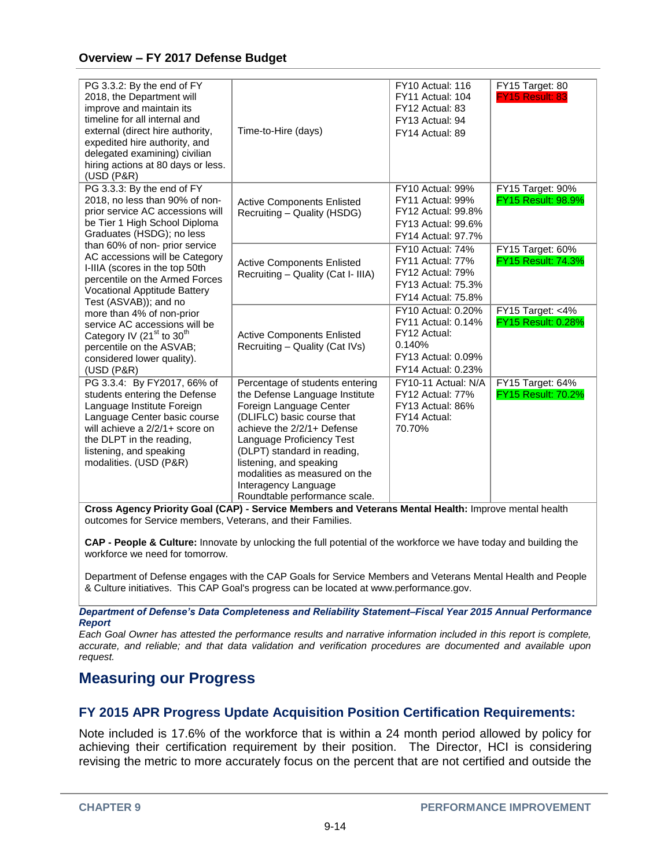| PG 3.3.2: By the end of FY<br>2018, the Department will<br>improve and maintain its<br>timeline for all internal and<br>external (direct hire authority,<br>expedited hire authority, and<br>delegated examining) civilian<br>hiring actions at 80 days or less.<br>(USD (P&R)                                                                                                                                                                                                                                                                                    | Time-to-Hire (days)                                                                                                                                                                                                                                                                                                                       | FY10 Actual: 116<br>FY11 Actual: 104<br>FY12 Actual: 83<br>FY13 Actual: 94<br>FY14 Actual: 89                                       | FY15 Target: 80<br>FY15 Result: 83            |
|-------------------------------------------------------------------------------------------------------------------------------------------------------------------------------------------------------------------------------------------------------------------------------------------------------------------------------------------------------------------------------------------------------------------------------------------------------------------------------------------------------------------------------------------------------------------|-------------------------------------------------------------------------------------------------------------------------------------------------------------------------------------------------------------------------------------------------------------------------------------------------------------------------------------------|-------------------------------------------------------------------------------------------------------------------------------------|-----------------------------------------------|
| PG 3.3.3: By the end of FY<br>2018, no less than 90% of non-<br>prior service AC accessions will<br>be Tier 1 High School Diploma<br>Graduates (HSDG); no less<br>than 60% of non- prior service<br>AC accessions will be Category<br>I-IIIA (scores in the top 50th<br>percentile on the Armed Forces<br><b>Vocational Apptitude Battery</b><br>Test (ASVAB)); and no<br>more than 4% of non-prior<br>service AC accessions will be<br>Category IV (21 <sup>st</sup> to 30 <sup>th</sup><br>percentile on the ASVAB;<br>considered lower quality).<br>(USD (P&R) | <b>Active Components Enlisted</b><br>Recruiting - Quality (HSDG)                                                                                                                                                                                                                                                                          | FY10 Actual: 99%<br>FY11 Actual: 99%<br><b>FY12 Actual: 99.8%</b><br><b>FY13 Actual: 99.6%</b><br><b>FY14 Actual: 97.7%</b>         | FY15 Target: 90%<br><b>FY15 Result: 98.9%</b> |
|                                                                                                                                                                                                                                                                                                                                                                                                                                                                                                                                                                   | <b>Active Components Enlisted</b><br>Recruiting - Quality (Cat I- IIIA)                                                                                                                                                                                                                                                                   | <b>FY10 Actual: 74%</b><br><b>FY11 Actual: 77%</b><br><b>FY12 Actual: 79%</b><br><b>FY13 Actual: 75.3%</b><br>FY14 Actual: 75.8%    | FY15 Target: 60%<br><b>FY15 Result: 74.3%</b> |
|                                                                                                                                                                                                                                                                                                                                                                                                                                                                                                                                                                   | <b>Active Components Enlisted</b><br>Recruiting - Quality (Cat IVs)                                                                                                                                                                                                                                                                       | <b>FY10 Actual: 0.20%</b><br><b>FY11 Actual: 0.14%</b><br>FY12 Actual:<br>0.140%<br>FY13 Actual: 0.09%<br><b>FY14 Actual: 0.23%</b> | FY15 Target: <4%<br><b>FY15 Result: 0.28%</b> |
| PG 3.3.4: By FY2017, 66% of<br>students entering the Defense<br>Language Institute Foreign<br>Language Center basic course<br>will achieve a 2/2/1+ score on<br>the DLPT in the reading,<br>listening, and speaking<br>modalities. (USD (P&R)                                                                                                                                                                                                                                                                                                                     | Percentage of students entering<br>the Defense Language Institute<br>Foreign Language Center<br>(DLIFLC) basic course that<br>achieve the 2/2/1+ Defense<br>Language Proficiency Test<br>(DLPT) standard in reading,<br>listening, and speaking<br>modalities as measured on the<br>Interagency Language<br>Roundtable performance scale. | FY10-11 Actual: N/A<br>FY12 Actual: 77%<br>FY13 Actual: 86%<br>FY14 Actual:<br>70.70%                                               | FY15 Target: 64%<br><b>FY15 Result: 70.2%</b> |

**Cross Agency Priority Goal (CAP) - Service Members and Veterans Mental Health:** Improve mental health outcomes for Service members, Veterans, and their Families.

**CAP - People & Culture:** Innovate by unlocking the full potential of the workforce we have today and building the workforce we need for tomorrow.

Department of Defense engages with the CAP Goals for Service Members and Veterans Mental Health and People & Culture initiatives. This CAP Goal's progress can be located at www.performance.gov.

*Department of Defense's Data Completeness and Reliability Statement–Fiscal Year 2015 Annual Performance Report*

*Each Goal Owner has attested the performance results and narrative information included in this report is complete, accurate, and reliable; and that data validation and verification procedures are documented and available upon request.*

## **Measuring our Progress**

## **FY 2015 APR Progress Update Acquisition Position Certification Requirements:**

Note included is 17.6% of the workforce that is within a 24 month period allowed by policy for achieving their certification requirement by their position. The Director, HCI is considering revising the metric to more accurately focus on the percent that are not certified and outside the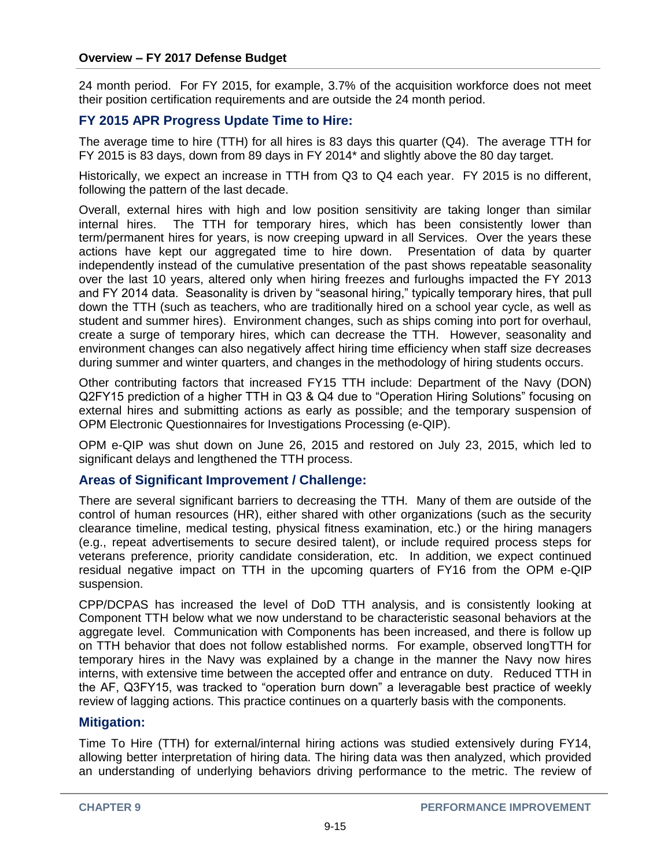24 month period. For FY 2015, for example, 3.7% of the acquisition workforce does not meet their position certification requirements and are outside the 24 month period.

## **FY 2015 APR Progress Update Time to Hire:**

The average time to hire (TTH) for all hires is 83 days this quarter (Q4). The average TTH for FY 2015 is 83 days, down from 89 days in FY 2014\* and slightly above the 80 day target.

Historically, we expect an increase in TTH from Q3 to Q4 each year. FY 2015 is no different, following the pattern of the last decade.

Overall, external hires with high and low position sensitivity are taking longer than similar internal hires. The TTH for temporary hires, which has been consistently lower than term/permanent hires for years, is now creeping upward in all Services. Over the years these actions have kept our aggregated time to hire down. Presentation of data by quarter independently instead of the cumulative presentation of the past shows repeatable seasonality over the last 10 years, altered only when hiring freezes and furloughs impacted the FY 2013 and FY 2014 data. Seasonality is driven by "seasonal hiring," typically temporary hires, that pull down the TTH (such as teachers, who are traditionally hired on a school year cycle, as well as student and summer hires). Environment changes, such as ships coming into port for overhaul, create a surge of temporary hires, which can decrease the TTH. However, seasonality and environment changes can also negatively affect hiring time efficiency when staff size decreases during summer and winter quarters, and changes in the methodology of hiring students occurs.

Other contributing factors that increased FY15 TTH include: Department of the Navy (DON) Q2FY15 prediction of a higher TTH in Q3 & Q4 due to "Operation Hiring Solutions" focusing on external hires and submitting actions as early as possible; and the temporary suspension of OPM Electronic Questionnaires for Investigations Processing (e-QIP).

OPM e-QIP was shut down on June 26, 2015 and restored on July 23, 2015, which led to significant delays and lengthened the TTH process.

## **Areas of Significant Improvement / Challenge:**

There are several significant barriers to decreasing the TTH. Many of them are outside of the control of human resources (HR), either shared with other organizations (such as the security clearance timeline, medical testing, physical fitness examination, etc.) or the hiring managers (e.g., repeat advertisements to secure desired talent), or include required process steps for veterans preference, priority candidate consideration, etc. In addition, we expect continued residual negative impact on TTH in the upcoming quarters of FY16 from the OPM e-QIP suspension.

CPP/DCPAS has increased the level of DoD TTH analysis, and is consistently looking at Component TTH below what we now understand to be characteristic seasonal behaviors at the aggregate level. Communication with Components has been increased, and there is follow up on TTH behavior that does not follow established norms. For example, observed longTTH for temporary hires in the Navy was explained by a change in the manner the Navy now hires interns, with extensive time between the accepted offer and entrance on duty. Reduced TTH in the AF, Q3FY15, was tracked to "operation burn down" a leveragable best practice of weekly review of lagging actions. This practice continues on a quarterly basis with the components.

#### **Mitigation:**

Time To Hire (TTH) for external/internal hiring actions was studied extensively during FY14, allowing better interpretation of hiring data. The hiring data was then analyzed, which provided an understanding of underlying behaviors driving performance to the metric. The review of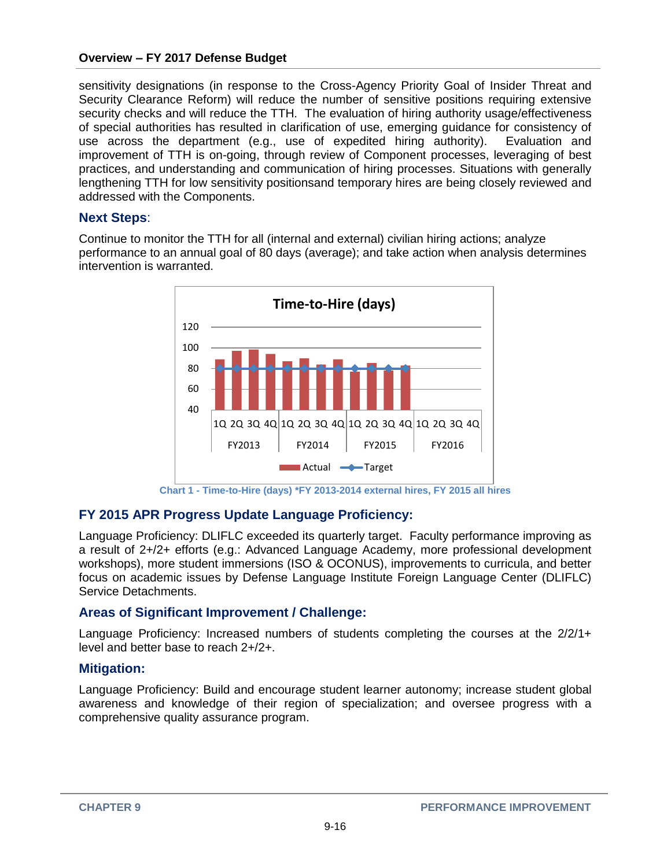sensitivity designations (in response to the Cross-Agency Priority Goal of Insider Threat and Security Clearance Reform) will reduce the number of sensitive positions requiring extensive security checks and will reduce the TTH. The evaluation of hiring authority usage/effectiveness of special authorities has resulted in clarification of use, emerging guidance for consistency of use across the department (e.g., use of expedited hiring authority). Evaluation and improvement of TTH is on-going, through review of Component processes, leveraging of best practices, and understanding and communication of hiring processes. Situations with generally lengthening TTH for low sensitivity positionsand temporary hires are being closely reviewed and addressed with the Components.

## **Next Steps**:

Continue to monitor the TTH for all (internal and external) civilian hiring actions; analyze performance to an annual goal of 80 days (average); and take action when analysis determines intervention is warranted.



**Chart 1 - Time-to-Hire (days) \*FY 2013-2014 external hires, FY 2015 all hires**

## **FY 2015 APR Progress Update Language Proficiency:**

Language Proficiency: DLIFLC exceeded its quarterly target. Faculty performance improving as a result of 2+/2+ efforts (e.g.: Advanced Language Academy, more professional development workshops), more student immersions (ISO & OCONUS), improvements to curricula, and better focus on academic issues by Defense Language Institute Foreign Language Center (DLIFLC) Service Detachments.

## **Areas of Significant Improvement / Challenge:**

Language Proficiency: Increased numbers of students completing the courses at the 2/2/1+ level and better base to reach 2+/2+.

## **Mitigation:**

Language Proficiency: Build and encourage student learner autonomy; increase student global awareness and knowledge of their region of specialization; and oversee progress with a comprehensive quality assurance program.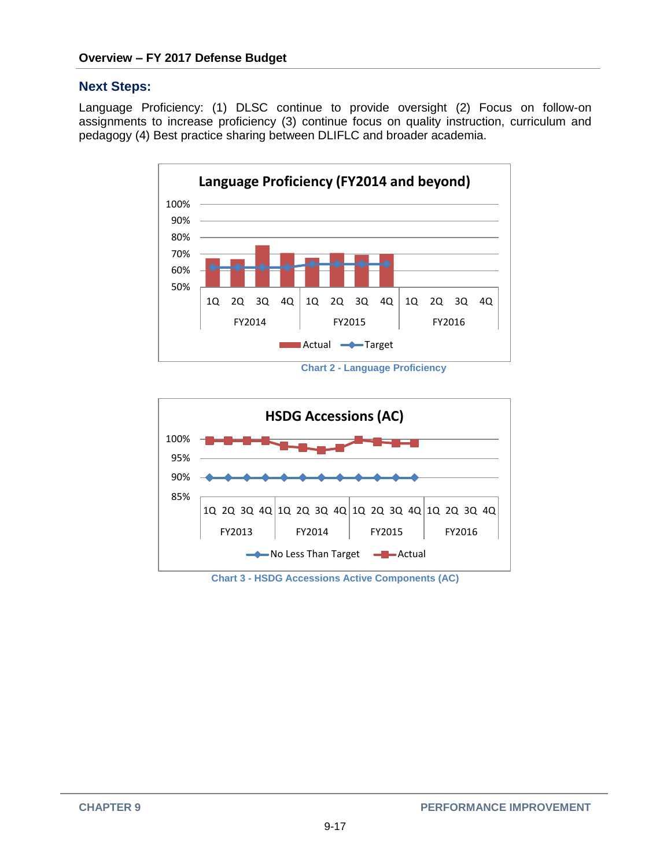#### **Next Steps:**

Language Proficiency: (1) DLSC continue to provide oversight (2) Focus on follow-on assignments to increase proficiency (3) continue focus on quality instruction, curriculum and pedagogy (4) Best practice sharing between DLIFLC and broader academia.



 **Chart 2 - Language Proficiency**



**Chart 3 - HSDG Accessions Active Components (AC)**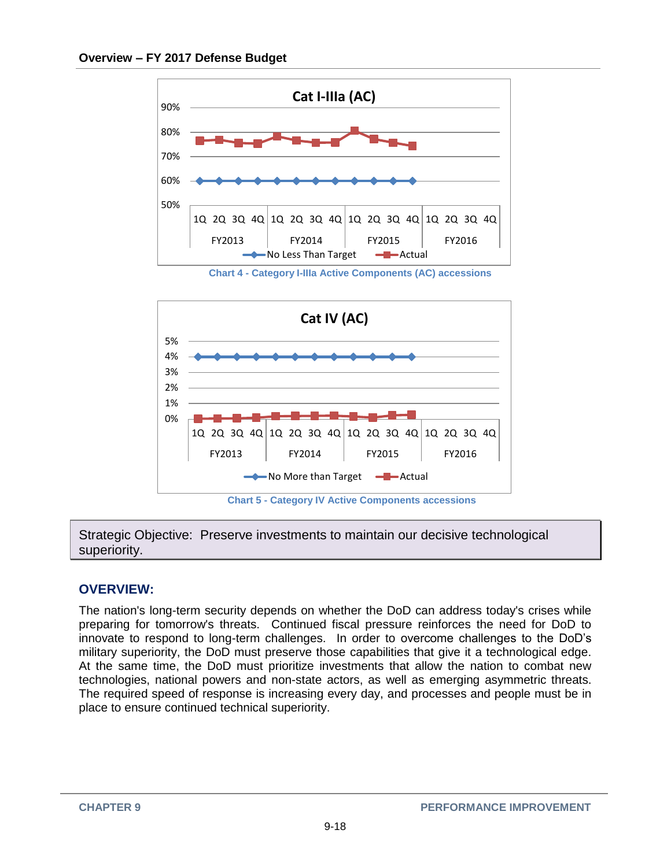

 **Chart 4 - Category I-IIIa Active Components (AC) accessions**



Strategic Objective: Preserve investments to maintain our decisive technological superiority.

## **OVERVIEW:**

The nation's long-term security depends on whether the DoD can address today's crises while preparing for tomorrow's threats. Continued fiscal pressure reinforces the need for DoD to innovate to respond to long-term challenges. In order to overcome challenges to the DoD's military superiority, the DoD must preserve those capabilities that give it a technological edge. At the same time, the DoD must prioritize investments that allow the nation to combat new technologies, national powers and non-state actors, as well as emerging asymmetric threats. The required speed of response is increasing every day, and processes and people must be in place to ensure continued technical superiority.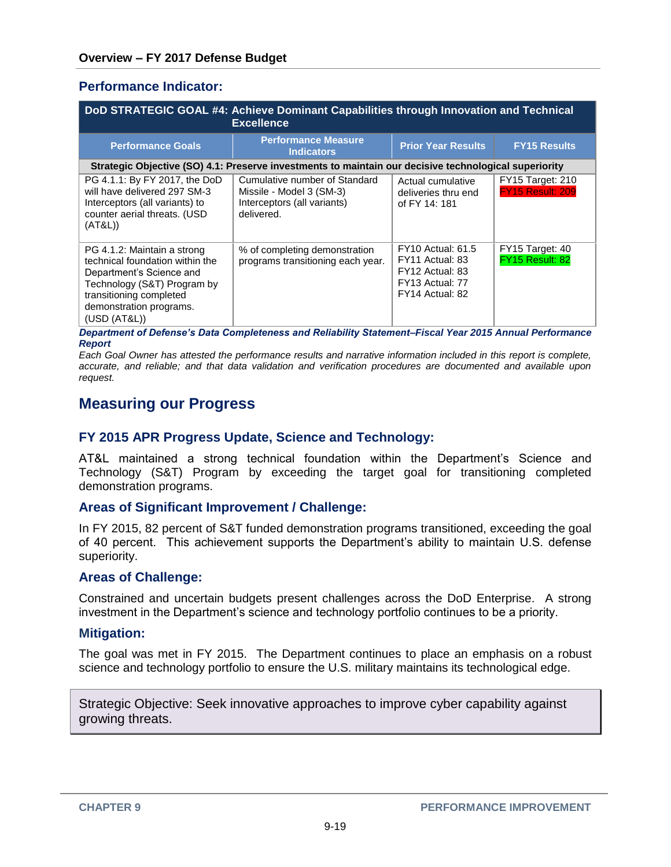### **Performance Indicator:**

| DoD STRATEGIC GOAL #4: Achieve Dominant Capabilities through Innovation and Technical<br><b>Excellence</b>                                                                                      |                                                                                                        |                                                                                                      |                                             |
|-------------------------------------------------------------------------------------------------------------------------------------------------------------------------------------------------|--------------------------------------------------------------------------------------------------------|------------------------------------------------------------------------------------------------------|---------------------------------------------|
| <b>Performance Goals</b>                                                                                                                                                                        | <b>Performance Measure</b><br><b>Indicators</b>                                                        | <b>Prior Year Results</b>                                                                            | <b>FY15 Results</b>                         |
|                                                                                                                                                                                                 | Strategic Objective (SO) 4.1: Preserve investments to maintain our decisive technological superiority  |                                                                                                      |                                             |
| PG 4.1.1: By FY 2017, the DoD<br>will have delivered 297 SM-3<br>Interceptors (all variants) to<br>counter aerial threats. (USD<br>(AT&L))                                                      | Cumulative number of Standard<br>Missile - Model 3 (SM-3)<br>Interceptors (all variants)<br>delivered. | Actual cumulative<br>deliveries thru end<br>of FY 14: 181                                            | <b>FY15 Target: 210</b><br>FY15 Result: 209 |
| PG 4.1.2: Maintain a strong<br>technical foundation within the<br>Department's Science and<br>Technology (S&T) Program by<br>transitioning completed<br>demonstration programs.<br>(USD (AT&L)) | % of completing demonstration<br>programs transitioning each year.                                     | <b>FY10 Actual: 61.5</b><br>FY11 Actual: 83<br>FY12 Actual: 83<br>FY13 Actual: 77<br>FY14 Actual: 82 | FY15 Target: 40<br>FY15 Result: 82          |

*Department of Defense's Data Completeness and Reliability Statement–Fiscal Year 2015 Annual Performance Report*

*Each Goal Owner has attested the performance results and narrative information included in this report is complete, accurate, and reliable; and that data validation and verification procedures are documented and available upon request.*

## **Measuring our Progress**

### **FY 2015 APR Progress Update, Science and Technology:**

AT&L maintained a strong technical foundation within the Department's Science and Technology (S&T) Program by exceeding the target goal for transitioning completed demonstration programs.

#### **Areas of Significant Improvement / Challenge:**

In FY 2015, 82 percent of S&T funded demonstration programs transitioned, exceeding the goal of 40 percent. This achievement supports the Department's ability to maintain U.S. defense superiority.

#### **Areas of Challenge:**

Constrained and uncertain budgets present challenges across the DoD Enterprise. A strong investment in the Department's science and technology portfolio continues to be a priority.

#### **Mitigation:**

The goal was met in FY 2015. The Department continues to place an emphasis on a robust science and technology portfolio to ensure the U.S. military maintains its technological edge.

Strategic Objective: Seek innovative approaches to improve cyber capability against growing threats.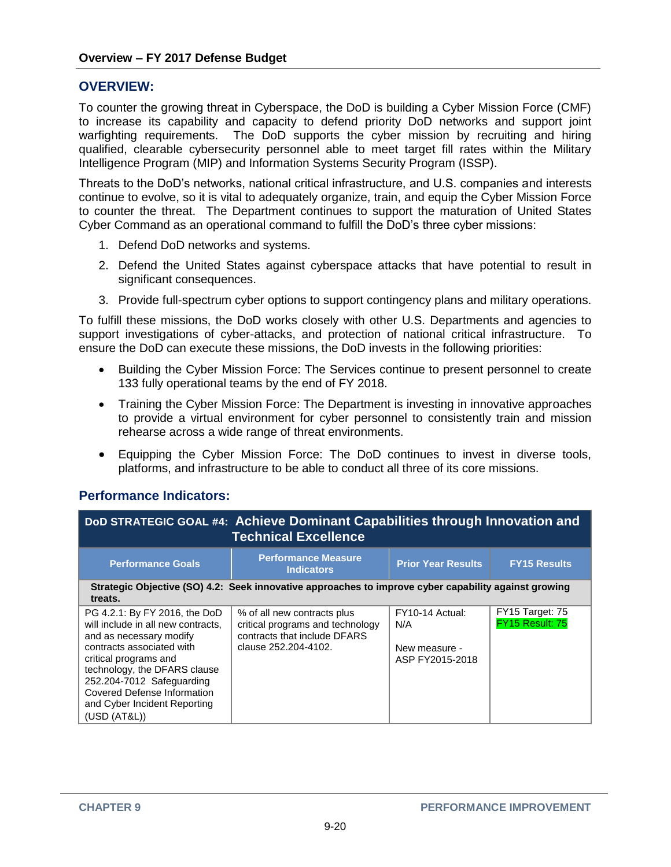### **OVERVIEW:**

To counter the growing threat in Cyberspace, the DoD is building a Cyber Mission Force (CMF) to increase its capability and capacity to defend priority DoD networks and support joint warfighting requirements. The DoD supports the cyber mission by recruiting and hiring qualified, clearable cybersecurity personnel able to meet target fill rates within the Military Intelligence Program (MIP) and Information Systems Security Program (ISSP).

Threats to the DoD's networks, national critical infrastructure, and U.S. companies and interests continue to evolve, so it is vital to adequately organize, train, and equip the Cyber Mission Force to counter the threat. The Department continues to support the maturation of United States Cyber Command as an operational command to fulfill the DoD's three cyber missions:

- 1. Defend DoD networks and systems.
- 2. Defend the United States against cyberspace attacks that have potential to result in significant consequences.
- 3. Provide full-spectrum cyber options to support contingency plans and military operations.

To fulfill these missions, the DoD works closely with other U.S. Departments and agencies to support investigations of cyber-attacks, and protection of national critical infrastructure. To ensure the DoD can execute these missions, the DoD invests in the following priorities:

- Building the Cyber Mission Force: The Services continue to present personnel to create 133 fully operational teams by the end of FY 2018.
- Training the Cyber Mission Force: The Department is investing in innovative approaches to provide a virtual environment for cyber personnel to consistently train and mission rehearse across a wide range of threat environments.
- Equipping the Cyber Mission Force: The DoD continues to invest in diverse tools, platforms, and infrastructure to be able to conduct all three of its core missions.

## **Performance Indicators:**

| DoD STRATEGIC GOAL #4: Achieve Dominant Capabilities through Innovation and<br><b>Technical Excellence</b>                                                                                                                                                                                              |                                                                                                                         |                                                            |                                    |
|---------------------------------------------------------------------------------------------------------------------------------------------------------------------------------------------------------------------------------------------------------------------------------------------------------|-------------------------------------------------------------------------------------------------------------------------|------------------------------------------------------------|------------------------------------|
| <b>Performance Goals</b>                                                                                                                                                                                                                                                                                | <b>Performance Measure</b><br><b>Indicators</b>                                                                         | <b>Prior Year Results</b>                                  | <b>FY15 Results</b>                |
| treats.                                                                                                                                                                                                                                                                                                 | Strategic Objective (SO) 4.2: Seek innovative approaches to improve cyber capability against growing                    |                                                            |                                    |
| PG 4.2.1: By FY 2016, the DoD<br>will include in all new contracts.<br>and as necessary modify<br>contracts associated with<br>critical programs and<br>technology, the DFARS clause<br>252.204-7012 Safeguarding<br><b>Covered Defense Information</b><br>and Cyber Incident Reporting<br>(USD (AT&L)) | % of all new contracts plus<br>critical programs and technology<br>contracts that include DFARS<br>clause 252.204-4102. | FY10-14 Actual:<br>N/A<br>New measure -<br>ASP FY2015-2018 | FY15 Target: 75<br>FY15 Result: 75 |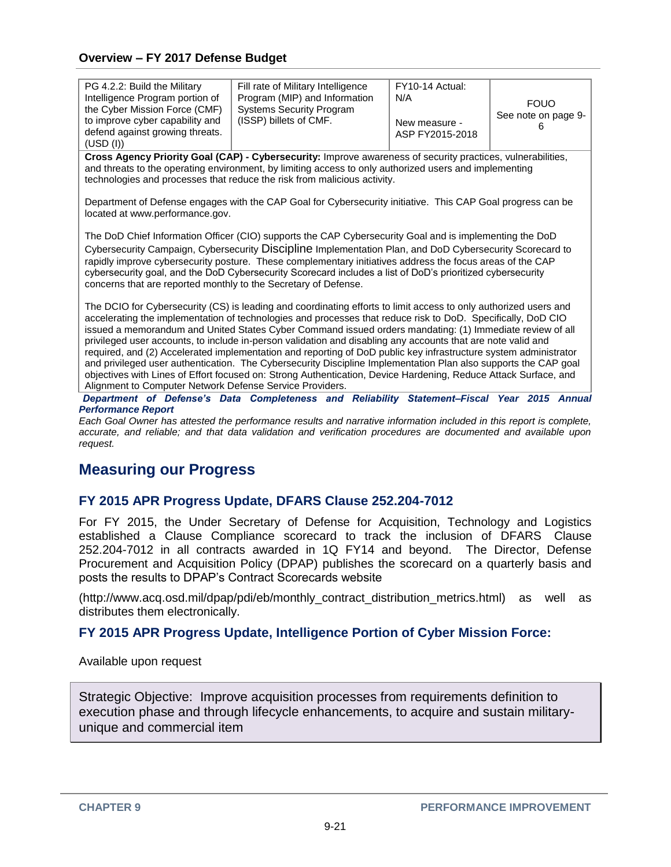| PG 4.2.2: Build the Military<br>Intelligence Program portion of<br>the Cyber Mission Force (CMF)<br>to improve cyber capability and<br>defend against growing threats.<br>(USD (I))                                                                                                                                                                                                                                                                                                                                                                                                                                                                                                                                                                                                                                                                                                | Fill rate of Military Intelligence<br>Program (MIP) and Information<br><b>Systems Security Program</b><br>(ISSP) billets of CMF.                                                                                                                                                                  | FY10-14 Actual:<br>N/A<br>New measure -<br>ASP FY2015-2018 | <b>FOUO</b><br>See note on page 9- |  |  |
|------------------------------------------------------------------------------------------------------------------------------------------------------------------------------------------------------------------------------------------------------------------------------------------------------------------------------------------------------------------------------------------------------------------------------------------------------------------------------------------------------------------------------------------------------------------------------------------------------------------------------------------------------------------------------------------------------------------------------------------------------------------------------------------------------------------------------------------------------------------------------------|---------------------------------------------------------------------------------------------------------------------------------------------------------------------------------------------------------------------------------------------------------------------------------------------------|------------------------------------------------------------|------------------------------------|--|--|
|                                                                                                                                                                                                                                                                                                                                                                                                                                                                                                                                                                                                                                                                                                                                                                                                                                                                                    | Cross Agency Priority Goal (CAP) - Cybersecurity: Improve awareness of security practices, vulnerabilities,<br>and threats to the operating environment, by limiting access to only authorized users and implementing<br>technologies and processes that reduce the risk from malicious activity. |                                                            |                                    |  |  |
| located at www.performance.gov.                                                                                                                                                                                                                                                                                                                                                                                                                                                                                                                                                                                                                                                                                                                                                                                                                                                    | Department of Defense engages with the CAP Goal for Cybersecurity initiative. This CAP Goal progress can be                                                                                                                                                                                       |                                                            |                                    |  |  |
| The DoD Chief Information Officer (CIO) supports the CAP Cybersecurity Goal and is implementing the DoD<br>Cybersecurity Campaign, Cybersecurity Discipline Implementation Plan, and DoD Cybersecurity Scorecard to<br>rapidly improve cybersecurity posture. These complementary initiatives address the focus areas of the CAP<br>cybersecurity goal, and the DoD Cybersecurity Scorecard includes a list of DoD's prioritized cybersecurity<br>concerns that are reported monthly to the Secretary of Defense.                                                                                                                                                                                                                                                                                                                                                                  |                                                                                                                                                                                                                                                                                                   |                                                            |                                    |  |  |
| The DCIO for Cybersecurity (CS) is leading and coordinating efforts to limit access to only authorized users and<br>accelerating the implementation of technologies and processes that reduce risk to DoD. Specifically, DoD CIO<br>issued a memorandum and United States Cyber Command issued orders mandating: (1) Immediate review of all<br>privileged user accounts, to include in-person validation and disabling any accounts that are note valid and<br>required, and (2) Accelerated implementation and reporting of DoD public key infrastructure system administrator<br>and privileged user authentication. The Cybersecurity Discipline Implementation Plan also supports the CAP goal<br>objectives with Lines of Effort focused on: Strong Authentication, Device Hardening, Reduce Attack Surface, and<br>Alignment to Computer Network Defense Service Providers. |                                                                                                                                                                                                                                                                                                   |                                                            |                                    |  |  |
| <b>Performance Report</b><br>$\mathbf{a}$ and $\mathbf{a}$ and $\mathbf{a}$ and $\mathbf{a}$ and $\mathbf{a}$                                                                                                                                                                                                                                                                                                                                                                                                                                                                                                                                                                                                                                                                                                                                                                      | Department of Defense's Data Completeness and Reliability Statement-Fiscal Year 2015 Annual<br>the contract of the contract of the contract of the contract of the contract of the contract of the contract of                                                                                    |                                                            |                                    |  |  |

*Each Goal Owner has attested the performance results and narrative information included in this report is complete, accurate, and reliable; and that data validation and verification procedures are documented and available upon request.*

## **Measuring our Progress**

## **FY 2015 APR Progress Update, DFARS Clause 252.204-7012**

For FY 2015, the Under Secretary of Defense for Acquisition, Technology and Logistics established a Clause Compliance scorecard to track the inclusion of DFARS Clause 252.204-7012 in all contracts awarded in 1Q FY14 and beyond. The Director, Defense Procurement and Acquisition Policy (DPAP) publishes the scorecard on a quarterly basis and posts the results to DPAP's Contract Scorecards website

(http://www.acq.osd.mil/dpap/pdi/eb/monthly\_contract\_distribution\_metrics.html) as well as distributes them electronically.

## **FY 2015 APR Progress Update, Intelligence Portion of Cyber Mission Force:**

Available upon request

Strategic Objective: Improve acquisition processes from requirements definition to execution phase and through lifecycle enhancements, to acquire and sustain militaryunique and commercial item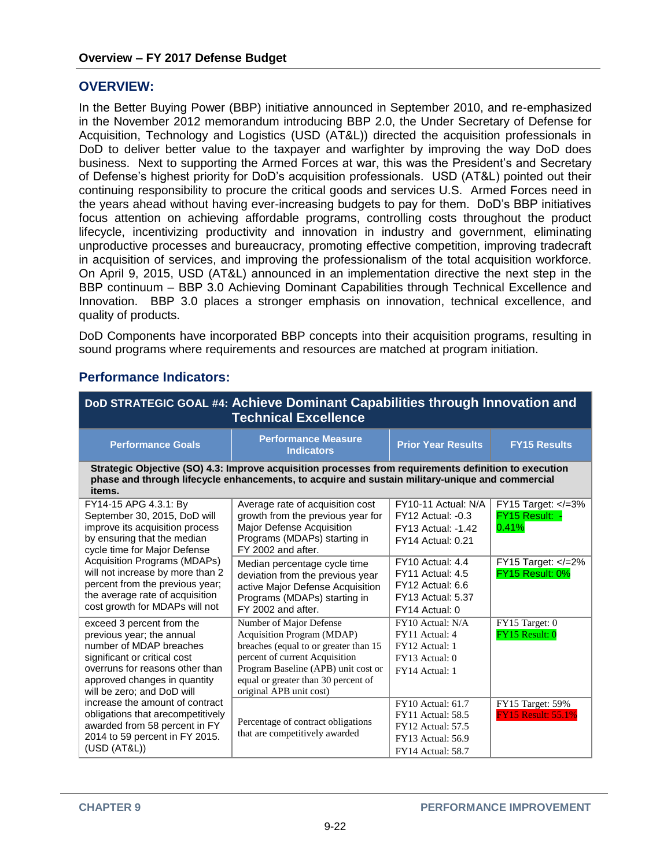### **OVERVIEW:**

In the Better Buying Power (BBP) initiative announced in September 2010, and re-emphasized in the November 2012 memorandum introducing BBP 2.0, the Under Secretary of Defense for Acquisition, Technology and Logistics (USD (AT&L)) directed the acquisition professionals in DoD to deliver better value to the taxpayer and warfighter by improving the way DoD does business. Next to supporting the Armed Forces at war, this was the President's and Secretary of Defense's highest priority for DoD's acquisition professionals. USD (AT&L) pointed out their continuing responsibility to procure the critical goods and services U.S. Armed Forces need in the years ahead without having ever-increasing budgets to pay for them. DoD's BBP initiatives focus attention on achieving affordable programs, controlling costs throughout the product lifecycle, incentivizing productivity and innovation in industry and government, eliminating unproductive processes and bureaucracy, promoting effective competition, improving tradecraft in acquisition of services, and improving the professionalism of the total acquisition workforce. On April 9, 2015, USD (AT&L) announced in an implementation directive the next step in the BBP continuum – BBP 3.0 Achieving Dominant Capabilities through Technical Excellence and Innovation. BBP 3.0 places a stronger emphasis on innovation, technical excellence, and quality of products.

DoD Components have incorporated BBP concepts into their acquisition programs, resulting in sound programs where requirements and resources are matched at program initiation.

| DoD STRATEGIC GOAL #4: Achieve Dominant Capabilities through Innovation and<br><b>Technical Excellence</b>                                                                                                         |                                                                                                                                                                                                                                            |                                                                                                                                   |                                               |
|--------------------------------------------------------------------------------------------------------------------------------------------------------------------------------------------------------------------|--------------------------------------------------------------------------------------------------------------------------------------------------------------------------------------------------------------------------------------------|-----------------------------------------------------------------------------------------------------------------------------------|-----------------------------------------------|
| <b>Performance Goals</b>                                                                                                                                                                                           | <b>Performance Measure</b><br><b>Indicators</b>                                                                                                                                                                                            | <b>Prior Year Results</b>                                                                                                         | <b>FY15 Results</b>                           |
| items.                                                                                                                                                                                                             | Strategic Objective (SO) 4.3: Improve acquisition processes from requirements definition to execution<br>phase and through lifecycle enhancements, to acquire and sustain military-unique and commercial                                   |                                                                                                                                   |                                               |
| FY14-15 APG 4.3.1: By<br>September 30, 2015, DoD will<br>improve its acquisition process<br>by ensuring that the median<br>cycle time for Major Defense                                                            | Average rate of acquisition cost<br>growth from the previous year for<br>Major Defense Acquisition<br>Programs (MDAPs) starting in<br>FY 2002 and after.                                                                                   | FY10-11 Actual: N/A<br>$FY12$ Actual: $-0.3$<br><b>FY13 Actual: -1.42</b><br><b>FY14 Actual: 0.21</b>                             | FY15 Target: =3%<br FY15 Result: ·<br>0.41%   |
| Acquisition Programs (MDAPs)<br>will not increase by more than 2<br>percent from the previous year;<br>the average rate of acquisition<br>cost growth for MDAPs will not                                           | Median percentage cycle time<br>deviation from the previous year<br>active Major Defense Acquisition<br>Programs (MDAPs) starting in<br>FY 2002 and after.                                                                                 | FY10 Actual: 4.4<br>FY11 Actual: 4.5<br>FY12 Actual: 6.6<br><b>FY13 Actual: 5.37</b><br>FY14 Actual: 0                            | FY15 Target: $\lt$ /=2%<br>FY15 Result: 0%    |
| exceed 3 percent from the<br>previous year; the annual<br>number of MDAP breaches<br>significant or critical cost<br>overruns for reasons other than<br>approved changes in quantity<br>will be zero; and DoD will | Number of Major Defense<br>Acquisition Program (MDAP)<br>breaches (equal to or greater than 15)<br>percent of current Acquisition<br>Program Baseline (APB) unit cost or<br>equal or greater than 30 percent of<br>original APB unit cost) | FY10 Actual: N/A<br>FY11 Actual: 4<br>FY12 Actual: 1<br>FY13 Actual: 0<br>FY14 Actual: 1                                          | FY15 Target: 0<br>FY15 Result: 0              |
| increase the amount of contract<br>obligations that arecompetitively<br>awarded from 58 percent in FY<br>2014 to 59 percent in FY 2015.<br>(USD (AT&L))                                                            | Percentage of contract obligations<br>that are competitively awarded                                                                                                                                                                       | FY10 Actual: 61.7<br><b>FY11</b> Actual: 58.5<br><b>FY12 Actual: 57.5</b><br><b>FY13 Actual: 56.9</b><br><b>FY14 Actual: 58.7</b> | FY15 Target: 59%<br><b>FY15 Result: 55.1%</b> |

## **Performance Indicators:**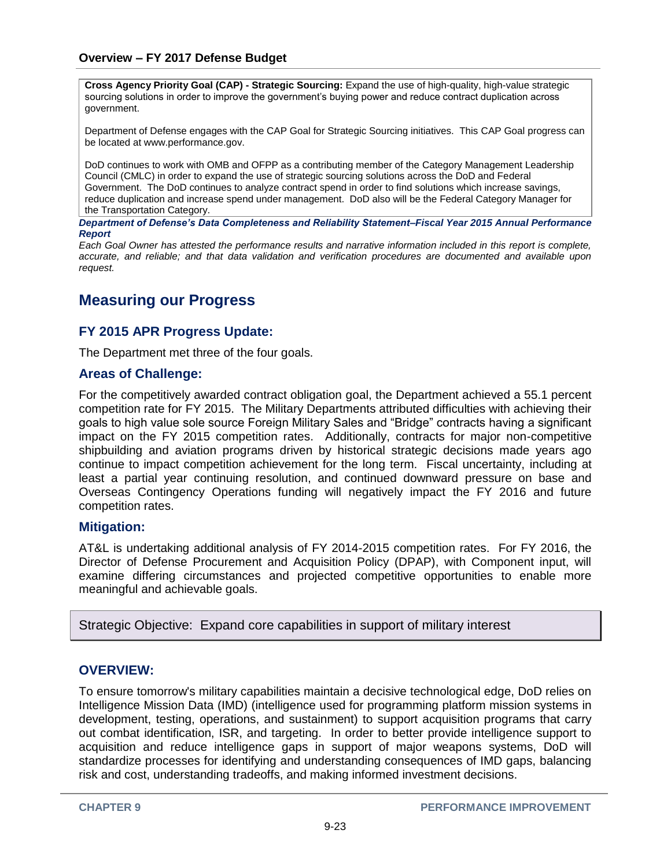**Cross Agency Priority Goal (CAP) - Strategic Sourcing:** Expand the use of high-quality, high-value strategic sourcing solutions in order to improve the government's buying power and reduce contract duplication across government.

Department of Defense engages with the CAP Goal for Strategic Sourcing initiatives. This CAP Goal progress can be located at www.performance.gov.

DoD continues to work with OMB and OFPP as a contributing member of the Category Management Leadership Council (CMLC) in order to expand the use of strategic sourcing solutions across the DoD and Federal Government. The DoD continues to analyze contract spend in order to find solutions which increase savings, reduce duplication and increase spend under management. DoD also will be the Federal Category Manager for the Transportation Category.

*Department of Defense's Data Completeness and Reliability Statement–Fiscal Year 2015 Annual Performance Report*

*Each Goal Owner has attested the performance results and narrative information included in this report is complete, accurate, and reliable; and that data validation and verification procedures are documented and available upon request.*

## **Measuring our Progress**

## **FY 2015 APR Progress Update:**

The Department met three of the four goals.

#### **Areas of Challenge:**

For the competitively awarded contract obligation goal, the Department achieved a 55.1 percent competition rate for FY 2015. The Military Departments attributed difficulties with achieving their goals to high value sole source Foreign Military Sales and "Bridge" contracts having a significant impact on the FY 2015 competition rates. Additionally, contracts for major non-competitive shipbuilding and aviation programs driven by historical strategic decisions made years ago continue to impact competition achievement for the long term. Fiscal uncertainty, including at least a partial year continuing resolution, and continued downward pressure on base and Overseas Contingency Operations funding will negatively impact the FY 2016 and future competition rates.

#### **Mitigation:**

AT&L is undertaking additional analysis of FY 2014-2015 competition rates. For FY 2016, the Director of Defense Procurement and Acquisition Policy (DPAP), with Component input, will examine differing circumstances and projected competitive opportunities to enable more meaningful and achievable goals.

Strategic Objective: Expand core capabilities in support of military interest

## **OVERVIEW:**

To ensure tomorrow's military capabilities maintain a decisive technological edge, DoD relies on Intelligence Mission Data (IMD) (intelligence used for programming platform mission systems in development, testing, operations, and sustainment) to support acquisition programs that carry out combat identification, ISR, and targeting. In order to better provide intelligence support to acquisition and reduce intelligence gaps in support of major weapons systems, DoD will standardize processes for identifying and understanding consequences of IMD gaps, balancing risk and cost, understanding tradeoffs, and making informed investment decisions.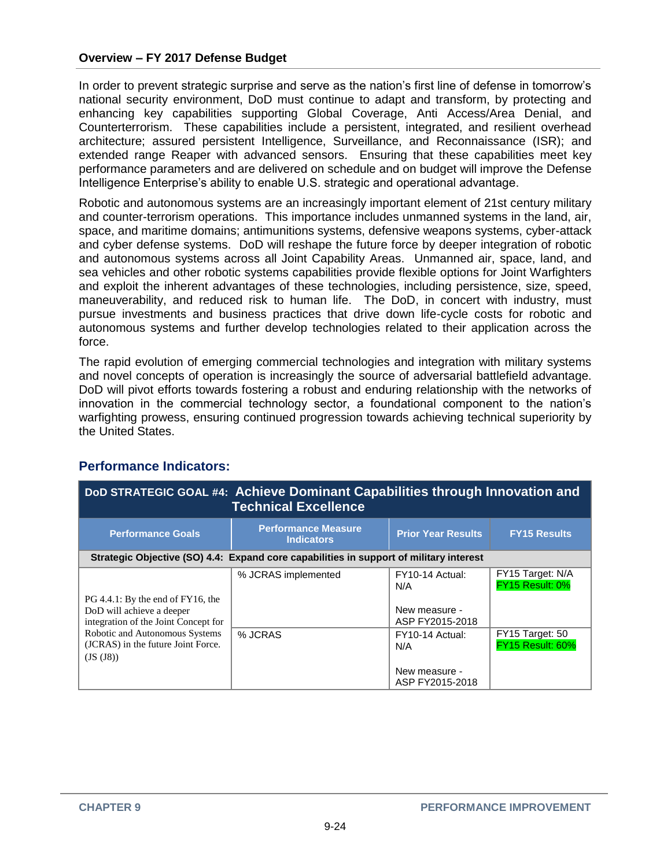In order to prevent strategic surprise and serve as the nation's first line of defense in tomorrow's national security environment, DoD must continue to adapt and transform, by protecting and enhancing key capabilities supporting Global Coverage, Anti Access/Area Denial, and Counterterrorism. These capabilities include a persistent, integrated, and resilient overhead architecture; assured persistent Intelligence, Surveillance, and Reconnaissance (ISR); and extended range Reaper with advanced sensors. Ensuring that these capabilities meet key performance parameters and are delivered on schedule and on budget will improve the Defense Intelligence Enterprise's ability to enable U.S. strategic and operational advantage.

Robotic and autonomous systems are an increasingly important element of 21st century military and counter-terrorism operations. This importance includes unmanned systems in the land, air, space, and maritime domains; antimunitions systems, defensive weapons systems, cyber-attack and cyber defense systems. DoD will reshape the future force by deeper integration of robotic and autonomous systems across all Joint Capability Areas. Unmanned air, space, land, and sea vehicles and other robotic systems capabilities provide flexible options for Joint Warfighters and exploit the inherent advantages of these technologies, including persistence, size, speed, maneuverability, and reduced risk to human life. The DoD, in concert with industry, must pursue investments and business practices that drive down life-cycle costs for robotic and autonomous systems and further develop technologies related to their application across the force.

The rapid evolution of emerging commercial technologies and integration with military systems and novel concepts of operation is increasingly the source of adversarial battlefield advantage. DoD will pivot efforts towards fostering a robust and enduring relationship with the networks of innovation in the commercial technology sector, a foundational component to the nation's warfighting prowess, ensuring continued progression towards achieving technical superiority by the United States.

| DoD STRATEGIC GOAL #4: Achieve Dominant Capabilities through Innovation and<br><b>Technical Excellence</b> |                                                                                        |                                                            |                                            |
|------------------------------------------------------------------------------------------------------------|----------------------------------------------------------------------------------------|------------------------------------------------------------|--------------------------------------------|
| <b>Performance Goals</b>                                                                                   | <b>Performance Measure</b><br><b>Indicators</b>                                        | <b>Prior Year Results</b>                                  | <b>FY15 Results</b>                        |
|                                                                                                            | Strategic Objective (SO) 4.4: Expand core capabilities in support of military interest |                                                            |                                            |
| PG 4.4.1: By the end of FY16, the<br>DoD will achieve a deeper<br>integration of the Joint Concept for     | % JCRAS implemented                                                                    | FY10-14 Actual:<br>N/A<br>New measure -<br>ASP FY2015-2018 | FY15 Target: N/A<br>FY15 Result: 0%        |
| Robotic and Autonomous Systems<br>(JCRAS) in the future Joint Force.<br>(JS (J8))                          | % JCRAS                                                                                | FY10-14 Actual:<br>N/A<br>New measure -<br>ASP FY2015-2018 | FY15 Target: 50<br><b>FY15 Result: 60%</b> |

## **Performance Indicators:**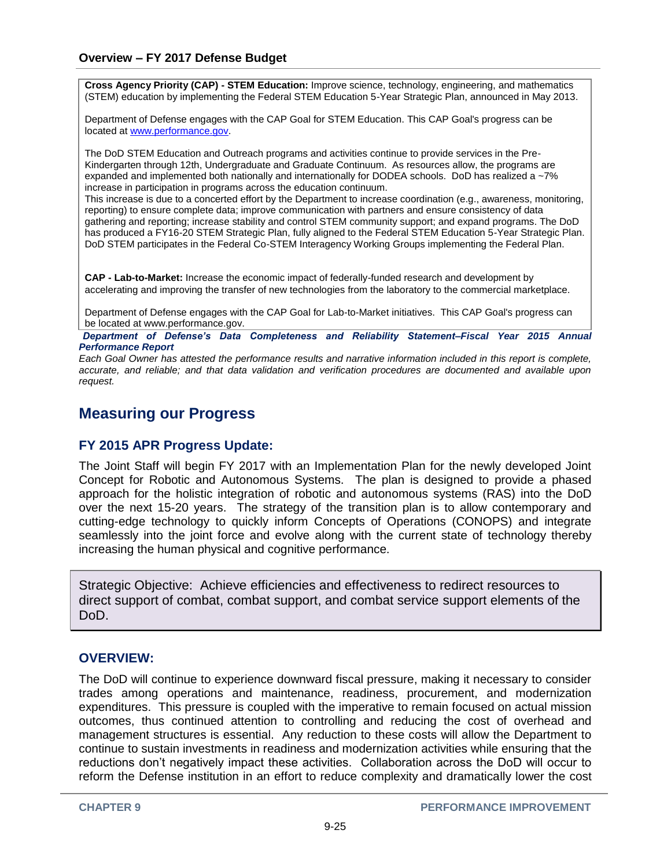**Cross Agency Priority (CAP) - STEM Education:** Improve science, technology, engineering, and mathematics (STEM) education by implementing the Federal STEM Education 5-Year Strategic Plan, announced in May 2013.

Department of Defense engages with the CAP Goal for STEM Education. This CAP Goal's progress can be located at [www.performance.gov.](http://www.performance.gov/)

The DoD STEM Education and Outreach programs and activities continue to provide services in the Pre-Kindergarten through 12th, Undergraduate and Graduate Continuum. As resources allow, the programs are expanded and implemented both nationally and internationally for DODEA schools. DoD has realized a ~7% increase in participation in programs across the education continuum.

This increase is due to a concerted effort by the Department to increase coordination (e.g., awareness, monitoring, reporting) to ensure complete data; improve communication with partners and ensure consistency of data gathering and reporting; increase stability and control STEM community support; and expand programs. The DoD has produced a FY16-20 STEM Strategic Plan, fully aligned to the Federal STEM Education 5-Year Strategic Plan. DoD STEM participates in the Federal Co-STEM Interagency Working Groups implementing the Federal Plan.

**CAP - Lab-to-Market:** Increase the economic impact of federally-funded research and development by accelerating and improving the transfer of new technologies from the laboratory to the commercial marketplace.

Department of Defense engages with the CAP Goal for Lab-to-Market initiatives. This CAP Goal's progress can be located at www.performance.gov.

*Department of Defense's Data Completeness and Reliability Statement–Fiscal Year 2015 Annual Performance Report*

*Each Goal Owner has attested the performance results and narrative information included in this report is complete, accurate, and reliable; and that data validation and verification procedures are documented and available upon request.*

## **Measuring our Progress**

## **FY 2015 APR Progress Update:**

The Joint Staff will begin FY 2017 with an Implementation Plan for the newly developed Joint Concept for Robotic and Autonomous Systems. The plan is designed to provide a phased approach for the holistic integration of robotic and autonomous systems (RAS) into the DoD over the next 15-20 years. The strategy of the transition plan is to allow contemporary and cutting-edge technology to quickly inform Concepts of Operations (CONOPS) and integrate seamlessly into the joint force and evolve along with the current state of technology thereby increasing the human physical and cognitive performance.

Strategic Objective: Achieve efficiencies and effectiveness to redirect resources to direct support of combat, combat support, and combat service support elements of the DoD.

#### **OVERVIEW:**

The DoD will continue to experience downward fiscal pressure, making it necessary to consider trades among operations and maintenance, readiness, procurement, and modernization expenditures. This pressure is coupled with the imperative to remain focused on actual mission outcomes, thus continued attention to controlling and reducing the cost of overhead and management structures is essential. Any reduction to these costs will allow the Department to continue to sustain investments in readiness and modernization activities while ensuring that the reductions don't negatively impact these activities. Collaboration across the DoD will occur to reform the Defense institution in an effort to reduce complexity and dramatically lower the cost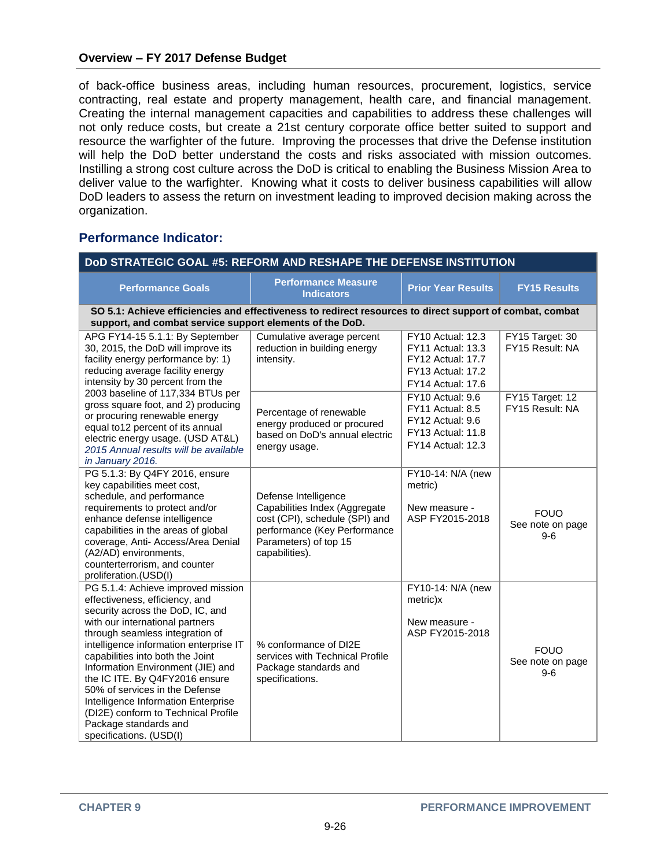of back-office business areas, including human resources, procurement, logistics, service contracting, real estate and property management, health care, and financial management. Creating the internal management capacities and capabilities to address these challenges will not only reduce costs, but create a 21st century corporate office better suited to support and resource the warfighter of the future. Improving the processes that drive the Defense institution will help the DoD better understand the costs and risks associated with mission outcomes. Instilling a strong cost culture across the DoD is critical to enabling the Business Mission Area to deliver value to the warfighter. Knowing what it costs to deliver business capabilities will allow DoD leaders to assess the return on investment leading to improved decision making across the organization.

## **Performance Indicator:**

| DoD STRATEGIC GOAL #5: REFORM AND RESHAPE THE DEFENSE INSTITUTION                                                                                                                                                                                                                                                                                                                                                                                                                                       |                                                                                                                                                                    |                                                                                                                            |                                          |  |  |
|---------------------------------------------------------------------------------------------------------------------------------------------------------------------------------------------------------------------------------------------------------------------------------------------------------------------------------------------------------------------------------------------------------------------------------------------------------------------------------------------------------|--------------------------------------------------------------------------------------------------------------------------------------------------------------------|----------------------------------------------------------------------------------------------------------------------------|------------------------------------------|--|--|
| <b>Performance Goals</b>                                                                                                                                                                                                                                                                                                                                                                                                                                                                                | <b>Performance Measure</b><br><b>Indicators</b>                                                                                                                    | <b>Prior Year Results</b>                                                                                                  | <b>FY15 Results</b>                      |  |  |
| SO 5.1: Achieve efficiencies and effectiveness to redirect resources to direct support of combat, combat<br>support, and combat service support elements of the DoD.                                                                                                                                                                                                                                                                                                                                    |                                                                                                                                                                    |                                                                                                                            |                                          |  |  |
| APG FY14-15 5.1.1: By September<br>30, 2015, the DoD will improve its<br>facility energy performance by: 1)<br>reducing average facility energy<br>intensity by 30 percent from the<br>2003 baseline of 117,334 BTUs per<br>gross square foot, and 2) producing<br>or procuring renewable energy<br>equal to12 percent of its annual<br>electric energy usage. (USD AT&L)<br>2015 Annual results will be available<br>in January 2016.                                                                  | Cumulative average percent<br>reduction in building energy<br>intensity.                                                                                           | FY10 Actual: 12.3<br><b>FY11 Actual: 13.3</b><br><b>FY12 Actual: 17.7</b><br>FY13 Actual: 17.2<br><b>FY14 Actual: 17.6</b> | FY15 Target: 30<br>FY15 Result: NA       |  |  |
|                                                                                                                                                                                                                                                                                                                                                                                                                                                                                                         | Percentage of renewable<br>energy produced or procured<br>based on DoD's annual electric<br>energy usage.                                                          | FY10 Actual: 9.6<br>FY11 Actual: 8.5<br>FY12 Actual: 9.6<br><b>FY13 Actual: 11.8</b><br><b>FY14 Actual: 12.3</b>           | FY15 Target: 12<br>FY15 Result: NA       |  |  |
| PG 5.1.3: By Q4FY 2016, ensure<br>key capabilities meet cost,<br>schedule, and performance<br>requirements to protect and/or<br>enhance defense intelligence<br>capabilities in the areas of global<br>coverage, Anti- Access/Area Denial<br>(A2/AD) environments,<br>counterterrorism, and counter<br>proliferation.(USD(I)                                                                                                                                                                            | Defense Intelligence<br>Capabilities Index (Aggregate<br>cost (CPI), schedule (SPI) and<br>performance (Key Performance<br>Parameters) of top 15<br>capabilities). | FY10-14: N/A (new<br>metric)<br>New measure -<br>ASP FY2015-2018                                                           | <b>FOUO</b><br>See note on page<br>$9-6$ |  |  |
| PG 5.1.4: Achieve improved mission<br>effectiveness, efficiency, and<br>security across the DoD, IC, and<br>with our international partners<br>through seamless integration of<br>intelligence information enterprise IT<br>capabilities into both the Joint<br>Information Environment (JIE) and<br>the IC ITE. By Q4FY2016 ensure<br>50% of services in the Defense<br>Intelligence Information Enterprise<br>(DI2E) conform to Technical Profile<br>Package standards and<br>specifications. (USD(I) | % conformance of DI2E<br>services with Technical Profile<br>Package standards and<br>specifications.                                                               | FY10-14: N/A (new<br>metric)x<br>New measure -<br>ASP FY2015-2018                                                          | <b>FOUO</b><br>See note on page<br>$9-6$ |  |  |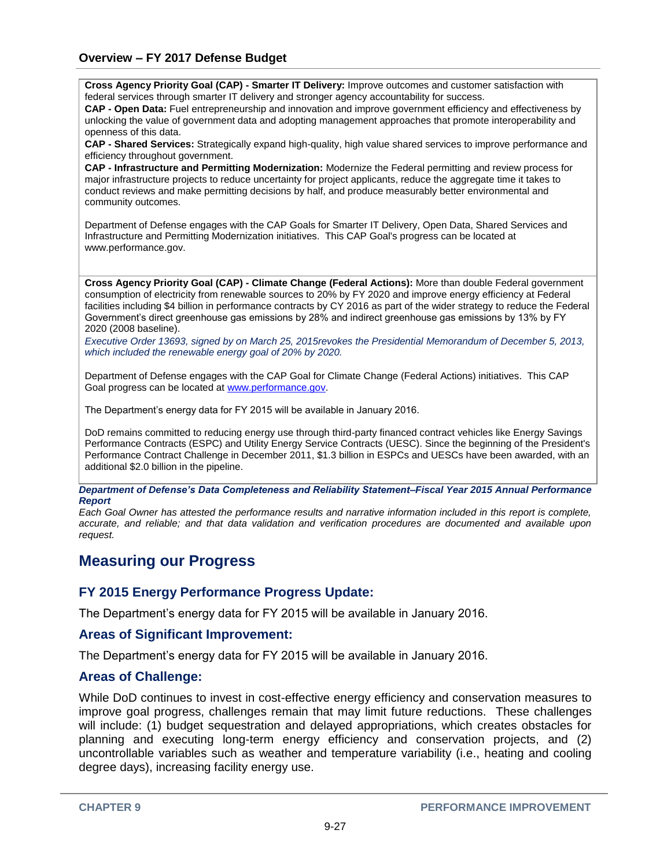**Cross Agency Priority Goal (CAP) - Smarter IT Delivery:** Improve outcomes and customer satisfaction with federal services through smarter IT delivery and stronger agency accountability for success.

**CAP - Open Data:** Fuel entrepreneurship and innovation and improve government efficiency and effectiveness by unlocking the value of government data and adopting management approaches that promote interoperability and openness of this data.

**CAP - Shared Services:** Strategically expand high-quality, high value shared services to improve performance and efficiency throughout government.

**CAP - Infrastructure and Permitting Modernization:** Modernize the Federal permitting and review process for major infrastructure projects to reduce uncertainty for project applicants, reduce the aggregate time it takes to conduct reviews and make permitting decisions by half, and produce measurably better environmental and community outcomes.

Department of Defense engages with the CAP Goals for Smarter IT Delivery, Open Data, Shared Services and Infrastructure and Permitting Modernization initiatives. This CAP Goal's progress can be located at www.performance.gov.

**Cross Agency Priority Goal (CAP) - Climate Change (Federal Actions):** More than double Federal government consumption of electricity from renewable sources to 20% by FY 2020 and improve energy efficiency at Federal facilities including \$4 billion in performance contracts by CY 2016 as part of the wider strategy to reduce the Federal Government's direct greenhouse gas emissions by 28% and indirect greenhouse gas emissions by 13% by FY 2020 (2008 baseline).

*Executive Order 13693, signed by on March 25, 2015revokes the Presidential Memorandum of December 5, 2013, which included the renewable energy goal of 20% by 2020.*

Department of Defense engages with the CAP Goal for Climate Change (Federal Actions) initiatives. This CAP Goal progress can be located at [www.performance.gov.](http://www.performance.gov/)

The Department's energy data for FY 2015 will be available in January 2016.

DoD remains committed to reducing energy use through third-party financed contract vehicles like Energy Savings Performance Contracts (ESPC) and Utility Energy Service Contracts (UESC). Since the beginning of the President's Performance Contract Challenge in December 2011, \$1.3 billion in ESPCs and UESCs have been awarded, with an additional \$2.0 billion in the pipeline.

#### *Department of Defense's Data Completeness and Reliability Statement–Fiscal Year 2015 Annual Performance Report*

*Each Goal Owner has attested the performance results and narrative information included in this report is complete, accurate, and reliable; and that data validation and verification procedures are documented and available upon request.*

## **Measuring our Progress**

#### **FY 2015 Energy Performance Progress Update:**

The Department's energy data for FY 2015 will be available in January 2016.

#### **Areas of Significant Improvement:**

The Department's energy data for FY 2015 will be available in January 2016.

#### **Areas of Challenge:**

While DoD continues to invest in cost-effective energy efficiency and conservation measures to improve goal progress, challenges remain that may limit future reductions. These challenges will include: (1) budget sequestration and delayed appropriations, which creates obstacles for planning and executing long-term energy efficiency and conservation projects, and (2) uncontrollable variables such as weather and temperature variability (i.e., heating and cooling degree days), increasing facility energy use.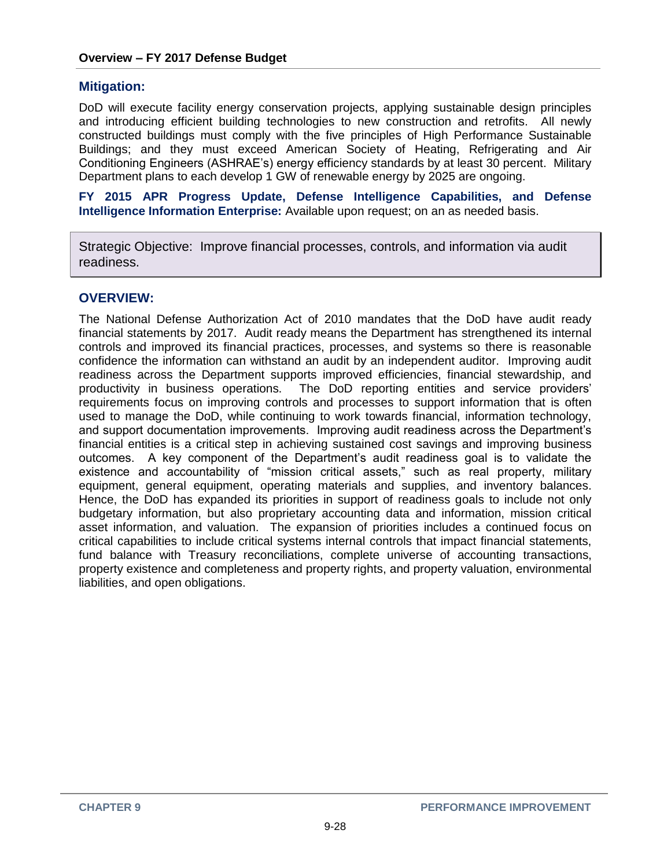#### **Mitigation:**

DoD will execute facility energy conservation projects, applying sustainable design principles and introducing efficient building technologies to new construction and retrofits. All newly constructed buildings must comply with the five principles of High Performance Sustainable Buildings; and they must exceed American Society of Heating, Refrigerating and Air Conditioning Engineers (ASHRAE's) energy efficiency standards by at least 30 percent. Military Department plans to each develop 1 GW of renewable energy by 2025 are ongoing.

**FY 2015 APR Progress Update, Defense Intelligence Capabilities, and Defense Intelligence Information Enterprise:** Available upon request; on an as needed basis.

Strategic Objective: Improve financial processes, controls, and information via audit readiness.

### **OVERVIEW:**

The National Defense Authorization Act of 2010 mandates that the DoD have audit ready financial statements by 2017. Audit ready means the Department has strengthened its internal controls and improved its financial practices, processes, and systems so there is reasonable confidence the information can withstand an audit by an independent auditor. Improving audit readiness across the Department supports improved efficiencies, financial stewardship, and productivity in business operations. The DoD reporting entities and service providers' requirements focus on improving controls and processes to support information that is often used to manage the DoD, while continuing to work towards financial, information technology, and support documentation improvements. Improving audit readiness across the Department's financial entities is a critical step in achieving sustained cost savings and improving business outcomes. A key component of the Department's audit readiness goal is to validate the existence and accountability of "mission critical assets," such as real property, military equipment, general equipment, operating materials and supplies, and inventory balances. Hence, the DoD has expanded its priorities in support of readiness goals to include not only budgetary information, but also proprietary accounting data and information, mission critical asset information, and valuation. The expansion of priorities includes a continued focus on critical capabilities to include critical systems internal controls that impact financial statements, fund balance with Treasury reconciliations, complete universe of accounting transactions, property existence and completeness and property rights, and property valuation, environmental liabilities, and open obligations.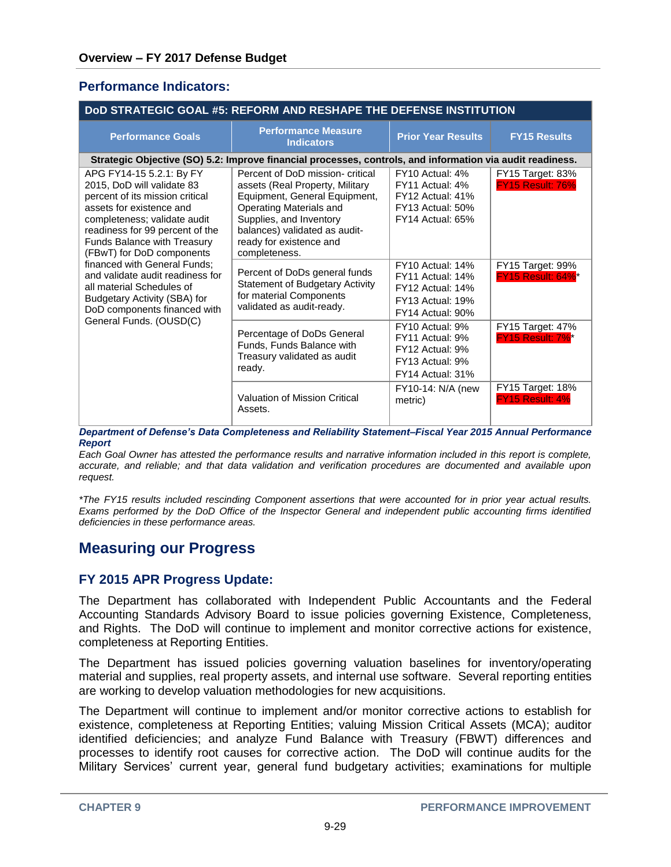### **Performance Indicators:**

| <b>DOD STRATEGIC GOAL #5: REFORM AND RESHAPE THE DEFENSE INSTITUTION</b>                                                                                                                                                                                                                                                                                                                                                                         |                                                                                                                                                                                                                                         |                                                                                                                       |                                             |  |  |
|--------------------------------------------------------------------------------------------------------------------------------------------------------------------------------------------------------------------------------------------------------------------------------------------------------------------------------------------------------------------------------------------------------------------------------------------------|-----------------------------------------------------------------------------------------------------------------------------------------------------------------------------------------------------------------------------------------|-----------------------------------------------------------------------------------------------------------------------|---------------------------------------------|--|--|
| <b>Performance Goals</b>                                                                                                                                                                                                                                                                                                                                                                                                                         | <b>Performance Measure</b><br><b>Indicators</b>                                                                                                                                                                                         | <b>Prior Year Results</b>                                                                                             | <b>FY15 Results</b>                         |  |  |
| Strategic Objective (SO) 5.2: Improve financial processes, controls, and information via audit readiness.                                                                                                                                                                                                                                                                                                                                        |                                                                                                                                                                                                                                         |                                                                                                                       |                                             |  |  |
| APG FY14-15 5.2.1: By FY<br>2015, DoD will validate 83<br>percent of its mission critical<br>assets for existence and<br>completeness; validate audit<br>readiness for 99 percent of the<br>Funds Balance with Treasury<br>(FBwT) for DoD components<br>financed with General Funds;<br>and validate audit readiness for<br>all material Schedules of<br>Budgetary Activity (SBA) for<br>DoD components financed with<br>General Funds. (OUSD(C) | Percent of DoD mission- critical<br>assets (Real Property, Military<br>Equipment, General Equipment,<br>Operating Materials and<br>Supplies, and Inventory<br>balances) validated as audit-<br>ready for existence and<br>completeness. | FY10 Actual: 4%<br>FY11 Actual: 4%<br>FY12 Actual: 41%<br><b>FY13 Actual: 50%</b><br><b>FY14 Actual: 65%</b>          | FY15 Target: 83%<br><b>FY15 Result: 76%</b> |  |  |
|                                                                                                                                                                                                                                                                                                                                                                                                                                                  | Percent of DoDs general funds<br><b>Statement of Budgetary Activity</b><br>for material Components<br>validated as audit-ready.                                                                                                         | <b>FY10 Actual: 14%</b><br>FY11 Actual: 14%<br><b>FY12 Actual: 14%</b><br><b>FY13 Actual: 19%</b><br>FY14 Actual: 90% | FY15 Target: 99%<br>FY15 Result: 64%*       |  |  |
|                                                                                                                                                                                                                                                                                                                                                                                                                                                  | Percentage of DoDs General<br>Funds, Funds Balance with<br>Treasury validated as audit<br>ready.                                                                                                                                        | FY10 Actual: 9%<br>FY11 Actual: 9%<br>FY12 Actual: 9%<br>FY13 Actual: 9%<br>FY14 Actual: 31%                          | <b>FY15 Target: 47%</b><br>FY15 Result: 7%* |  |  |
|                                                                                                                                                                                                                                                                                                                                                                                                                                                  | Valuation of Mission Critical<br>Assets.                                                                                                                                                                                                | FY10-14: N/A (new<br>metric)                                                                                          | <b>FY15 Target: 18%</b><br>FY15 Result: 4%  |  |  |

*Department of Defense's Data Completeness and Reliability Statement–Fiscal Year 2015 Annual Performance Report*

*Each Goal Owner has attested the performance results and narrative information included in this report is complete, accurate, and reliable; and that data validation and verification procedures are documented and available upon request.*

*\*The FY15 results included rescinding Component assertions that were accounted for in prior year actual results. Exams performed by the DoD Office of the Inspector General and independent public accounting firms identified deficiencies in these performance areas.* 

## **Measuring our Progress**

## **FY 2015 APR Progress Update:**

The Department has collaborated with Independent Public Accountants and the Federal Accounting Standards Advisory Board to issue policies governing Existence, Completeness, and Rights. The DoD will continue to implement and monitor corrective actions for existence, completeness at Reporting Entities.

The Department has issued policies governing valuation baselines for inventory/operating material and supplies, real property assets, and internal use software. Several reporting entities are working to develop valuation methodologies for new acquisitions.

The Department will continue to implement and/or monitor corrective actions to establish for existence, completeness at Reporting Entities; valuing Mission Critical Assets (MCA); auditor identified deficiencies; and analyze Fund Balance with Treasury (FBWT) differences and processes to identify root causes for corrective action. The DoD will continue audits for the Military Services' current year, general fund budgetary activities; examinations for multiple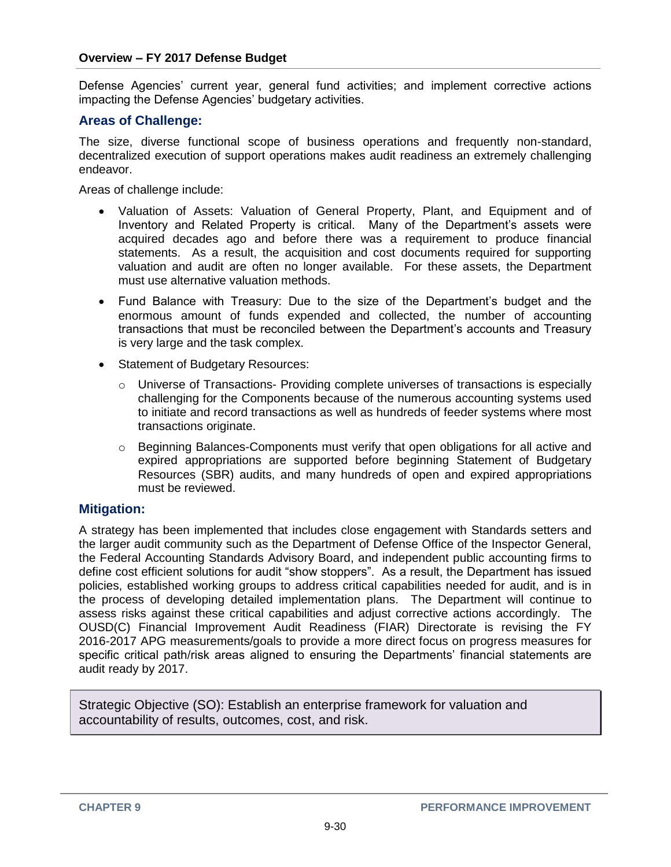Defense Agencies' current year, general fund activities; and implement corrective actions impacting the Defense Agencies' budgetary activities.

### **Areas of Challenge:**

The size, diverse functional scope of business operations and frequently non-standard, decentralized execution of support operations makes audit readiness an extremely challenging endeavor.

Areas of challenge include:

- Valuation of Assets: Valuation of General Property, Plant, and Equipment and of Inventory and Related Property is critical. Many of the Department's assets were acquired decades ago and before there was a requirement to produce financial statements. As a result, the acquisition and cost documents required for supporting valuation and audit are often no longer available. For these assets, the Department must use alternative valuation methods.
- Fund Balance with Treasury: Due to the size of the Department's budget and the enormous amount of funds expended and collected, the number of accounting transactions that must be reconciled between the Department's accounts and Treasury is very large and the task complex.
- Statement of Budgetary Resources:
	- $\circ$  Universe of Transactions- Providing complete universes of transactions is especially challenging for the Components because of the numerous accounting systems used to initiate and record transactions as well as hundreds of feeder systems where most transactions originate.
	- $\circ$  Beginning Balances-Components must verify that open obligations for all active and expired appropriations are supported before beginning Statement of Budgetary Resources (SBR) audits, and many hundreds of open and expired appropriations must be reviewed.

#### **Mitigation:**

A strategy has been implemented that includes close engagement with Standards setters and the larger audit community such as the Department of Defense Office of the Inspector General, the Federal Accounting Standards Advisory Board, and independent public accounting firms to define cost efficient solutions for audit "show stoppers". As a result, the Department has issued policies, established working groups to address critical capabilities needed for audit, and is in the process of developing detailed implementation plans. The Department will continue to assess risks against these critical capabilities and adjust corrective actions accordingly. The OUSD(C) Financial Improvement Audit Readiness (FIAR) Directorate is revising the FY 2016-2017 APG measurements/goals to provide a more direct focus on progress measures for specific critical path/risk areas aligned to ensuring the Departments' financial statements are audit ready by 2017.

Strategic Objective (SO): Establish an enterprise framework for valuation and accountability of results, outcomes, cost, and risk.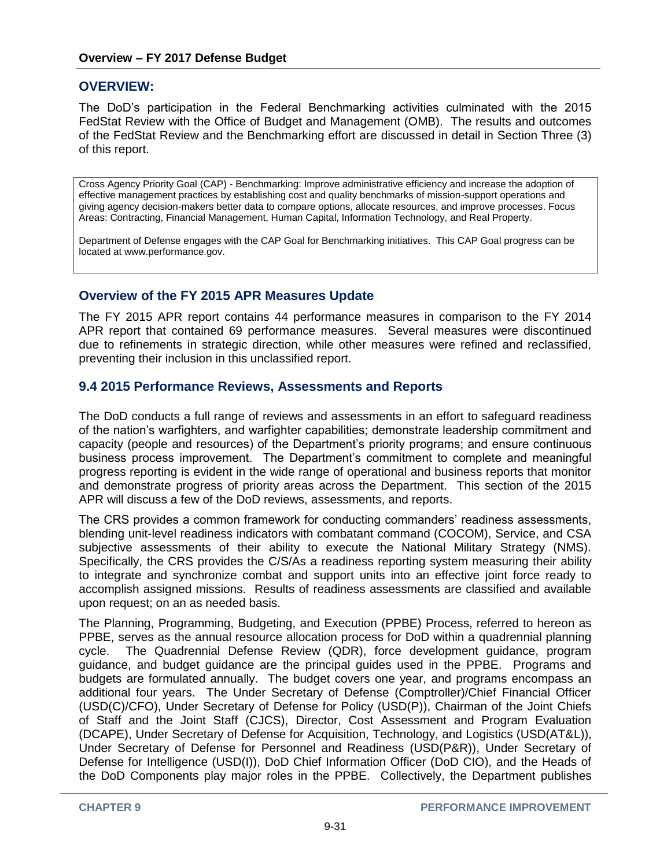### **OVERVIEW:**

The DoD's participation in the Federal Benchmarking activities culminated with the 2015 FedStat Review with the Office of Budget and Management (OMB). The results and outcomes of the FedStat Review and the Benchmarking effort are discussed in detail in Section Three (3) of this report.

Cross Agency Priority Goal (CAP) - Benchmarking: Improve administrative efficiency and increase the adoption of effective management practices by establishing cost and quality benchmarks of mission-support operations and giving agency decision-makers better data to compare options, allocate resources, and improve processes. Focus Areas: Contracting, Financial Management, Human Capital, Information Technology, and Real Property.

Department of Defense engages with the CAP Goal for Benchmarking initiatives. This CAP Goal progress can be located at www.performance.gov.

### **Overview of the FY 2015 APR Measures Update**

The FY 2015 APR report contains 44 performance measures in comparison to the FY 2014 APR report that contained 69 performance measures. Several measures were discontinued due to refinements in strategic direction, while other measures were refined and reclassified, preventing their inclusion in this unclassified report.

### **9.4 2015 Performance Reviews, Assessments and Reports**

The DoD conducts a full range of reviews and assessments in an effort to safeguard readiness of the nation's warfighters, and warfighter capabilities; demonstrate leadership commitment and capacity (people and resources) of the Department's priority programs; and ensure continuous business process improvement. The Department's commitment to complete and meaningful progress reporting is evident in the wide range of operational and business reports that monitor and demonstrate progress of priority areas across the Department. This section of the 2015 APR will discuss a few of the DoD reviews, assessments, and reports.

The CRS provides a common framework for conducting commanders' readiness assessments, blending unit-level readiness indicators with combatant command (COCOM), Service, and CSA subjective assessments of their ability to execute the National Military Strategy (NMS). Specifically, the CRS provides the C/S/As a readiness reporting system measuring their ability to integrate and synchronize combat and support units into an effective joint force ready to accomplish assigned missions. Results of readiness assessments are classified and available upon request; on an as needed basis.

The Planning, Programming, Budgeting, and Execution (PPBE) Process, referred to hereon as PPBE, serves as the annual resource allocation process for DoD within a quadrennial planning cycle. The Quadrennial Defense Review (QDR), force development guidance, program guidance, and budget guidance are the principal guides used in the PPBE. Programs and budgets are formulated annually. The budget covers one year, and programs encompass an additional four years. The Under Secretary of Defense (Comptroller)/Chief Financial Officer (USD(C)/CFO), Under Secretary of Defense for Policy (USD(P)), Chairman of the Joint Chiefs of Staff and the Joint Staff (CJCS), Director, Cost Assessment and Program Evaluation (DCAPE), Under Secretary of Defense for Acquisition, Technology, and Logistics (USD(AT&L)), Under Secretary of Defense for Personnel and Readiness (USD(P&R)), Under Secretary of Defense for Intelligence (USD(I)), DoD Chief Information Officer (DoD CIO), and the Heads of the DoD Components play major roles in the PPBE. Collectively, the Department publishes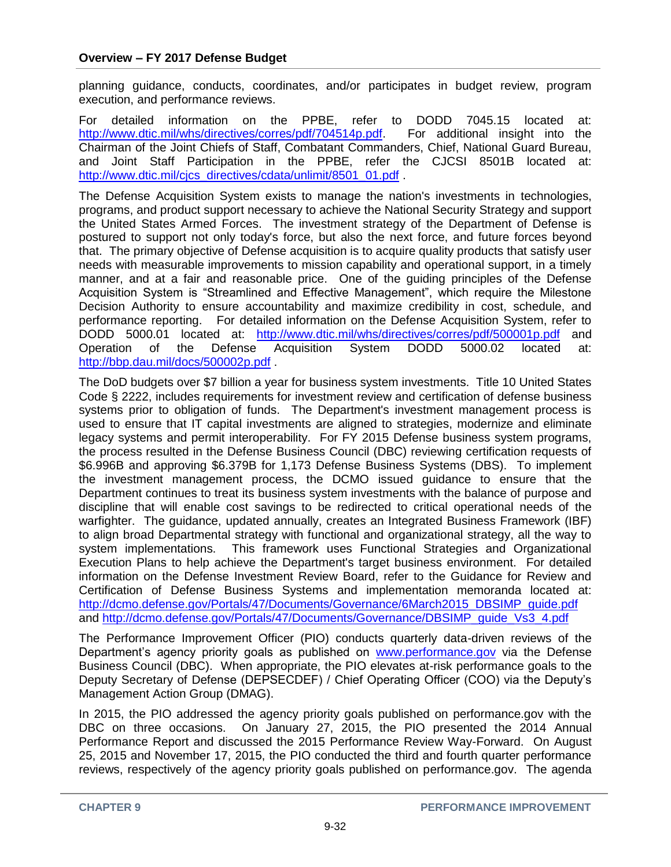planning guidance, conducts, coordinates, and/or participates in budget review, program execution, and performance reviews.

For detailed information on the PPBE, refer to DODD 7045.15 located at: [http://www.dtic.mil/whs/directives/corres/pdf/704514p.pdf.](http://www.dtic.mil/whs/directives/corres/pdf/704514p.pdf) For additional insight into the Chairman of the Joint Chiefs of Staff, Combatant Commanders, Chief, National Guard Bureau, and Joint Staff Participation in the PPBE, refer the CJCSI 8501B located at: [http://www.dtic.mil/cjcs\\_directives/cdata/unlimit/8501\\_01.pdf](http://www.dtic.mil/cjcs_directives/cdata/unlimit/8501_01.pdf).

The Defense Acquisition System exists to manage the nation's investments in technologies, programs, and product support necessary to achieve the National Security Strategy and support the United States Armed Forces. The investment strategy of the Department of Defense is postured to support not only today's force, but also the next force, and future forces beyond that. The primary objective of Defense acquisition is to acquire quality products that satisfy user needs with measurable improvements to mission capability and operational support, in a timely manner, and at a fair and reasonable price. One of the guiding principles of the Defense Acquisition System is "Streamlined and Effective Management", which require the Milestone Decision Authority to ensure accountability and maximize credibility in cost, schedule, and performance reporting. For detailed information on the Defense Acquisition System, refer to DODD 5000.01 located at: <http://www.dtic.mil/whs/directives/corres/pdf/500001p.pdf> and Operation of the Defense Acquisition System DODD 5000.02 located at: <http://bbp.dau.mil/docs/500002p.pdf> .

The DoD budgets over \$7 billion a year for business system investments. Title 10 United States Code § 2222, includes requirements for investment review and certification of defense business systems prior to obligation of funds. The Department's investment management process is used to ensure that IT capital investments are aligned to strategies, modernize and eliminate legacy systems and permit interoperability. For FY 2015 Defense business system programs, the process resulted in the Defense Business Council (DBC) reviewing certification requests of \$6.996B and approving \$6.379B for 1,173 Defense Business Systems (DBS). To implement the investment management process, the DCMO issued guidance to ensure that the Department continues to treat its business system investments with the balance of purpose and discipline that will enable cost savings to be redirected to critical operational needs of the warfighter. The guidance, updated annually, creates an Integrated Business Framework (IBF) to align broad Departmental strategy with functional and organizational strategy, all the way to system implementations. This framework uses Functional Strategies and Organizational Execution Plans to help achieve the Department's target business environment. For detailed information on the Defense Investment Review Board, refer to the Guidance for Review and Certification of Defense Business Systems and implementation memoranda located at: http://dcmo.defense.gov/Portals/47/Documents/Governance/6March2015\_DBSIMP\_quide.pdf and [http://dcmo.defense.gov/Portals/47/Documents/Governance/DBSIMP\\_guide\\_Vs3\\_4.pdf](http://dcmo.defense.gov/Portals/47/Documents/Governance/DBSIMP_guide_Vs3_4.pdf)

The Performance Improvement Officer (PIO) conducts quarterly data-driven reviews of the Department's agency priority goals as published on [www.performance.gov](http://www.performance.gov/) via the Defense Business Council (DBC). When appropriate, the PIO elevates at-risk performance goals to the Deputy Secretary of Defense (DEPSECDEF) / Chief Operating Officer (COO) via the Deputy's Management Action Group (DMAG).

In 2015, the PIO addressed the agency priority goals published on performance.gov with the DBC on three occasions. On January 27, 2015, the PIO presented the 2014 Annual Performance Report and discussed the 2015 Performance Review Way-Forward. On August 25, 2015 and November 17, 2015, the PIO conducted the third and fourth quarter performance reviews, respectively of the agency priority goals published on performance.gov. The agenda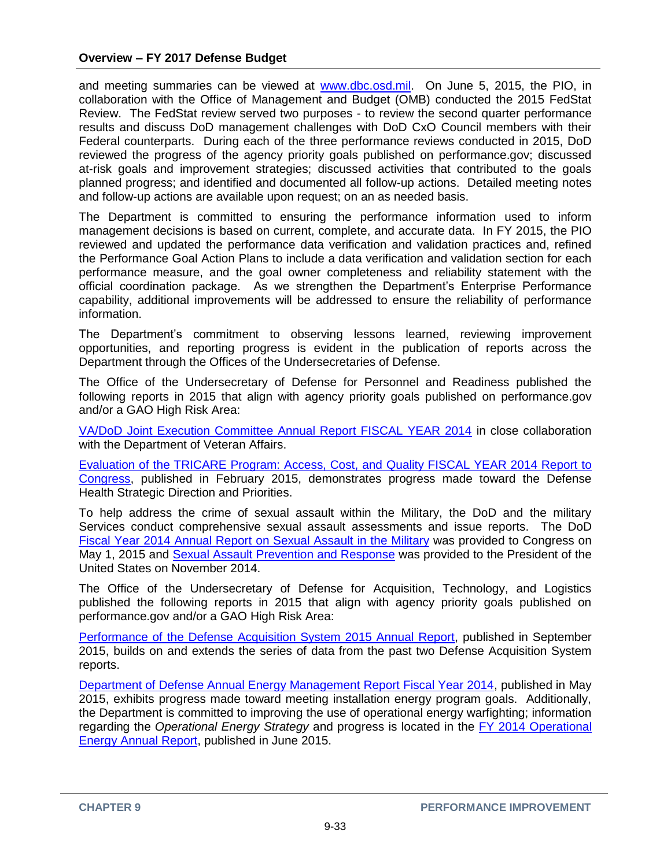and meeting summaries can be viewed at [www.dbc.osd.mil.](http://www.dbc.osd.mil/) On June 5, 2015, the PIO, in collaboration with the Office of Management and Budget (OMB) conducted the 2015 FedStat Review. The FedStat review served two purposes - to review the second quarter performance results and discuss DoD management challenges with DoD CxO Council members with their Federal counterparts. During each of the three performance reviews conducted in 2015, DoD reviewed the progress of the agency priority goals published on performance.gov; discussed at-risk goals and improvement strategies; discussed activities that contributed to the goals planned progress; and identified and documented all follow-up actions. Detailed meeting notes and follow-up actions are available upon request; on an as needed basis.

The Department is committed to ensuring the performance information used to inform management decisions is based on current, complete, and accurate data. In FY 2015, the PIO reviewed and updated the performance data verification and validation practices and, refined the Performance Goal Action Plans to include a data verification and validation section for each performance measure, and the goal owner completeness and reliability statement with the official coordination package. As we strengthen the Department's Enterprise Performance capability, additional improvements will be addressed to ensure the reliability of performance information.

The Department's commitment to observing lessons learned, reviewing improvement opportunities, and reporting progress is evident in the publication of reports across the Department through the Offices of the Undersecretaries of Defense.

The Office of the Undersecretary of Defense for Personnel and Readiness published the following reports in 2015 that align with agency priority goals published on performance.gov and/or a GAO High Risk Area:

[VA/DoD Joint Execution Committee Annual Report FISCAL YEAR 2014](http://prhome.defense.gov/Documents.aspx) in close collaboration with the Department of Veteran Affairs.

[Evaluation of the TRICARE Program: Access, Cost, and](http://health.mil/Reference-Center/Reports?query=evaluation+of+the+tricare+program+2014) Quality FISCAL YEAR 2014 Report to [Congress,](http://health.mil/Reference-Center/Reports?query=evaluation+of+the+tricare+program+2014) published in February 2015, demonstrates progress made toward the Defense Health Strategic Direction and Priorities.

To help address the crime of sexual assault within the Military, the DoD and the military Services conduct comprehensive sexual assault assessments and issue reports. The DoD [Fiscal Year 2014 Annual Report on Sexual Assault in the Military](http://sapr.mil/public/docs/reports/FY14_Annual/FY14_DoD_SAPRO_Annual_Report_on_Sexual_Assault.pdf) was provided to Congress on May 1, 2015 and [Sexual Assault Prevention and Response](http://sapr.mil/public/docs/reports/FY14_POTUS/FY14_DoD_Report_to_POTUS_SAPRO_Report.pdf) was provided to the President of the United States on November 2014.

The Office of the Undersecretary of Defense for Acquisition, Technology, and Logistics published the following reports in 2015 that align with agency priority goals published on performance.gov and/or a GAO High Risk Area:

[Performance of the Defense Acquisition System 2015 Annual Report,](http://www.acq.osd.mil/) published in September 2015, builds on and extends the series of data from the past two Defense Acquisition System reports.

[Department of Defense Annual Energy Management Report Fiscal Year 2014,](http://www.acq.osd.mil/ie/energy/energymgmt_report/main.shtml) published in May 2015, exhibits progress made toward meeting installation energy program goals. Additionally, the Department is committed to improving the use of operational energy warfighting; information regarding the *Operational Energy Strategy* and progress is located in the [FY 2014 Operational](http://energy.defense.gov/portals/25/documents/reports/FY%202014%20OE%20Annual%20Report.pdf) [Energy Annual Report,](http://energy.defense.gov/portals/25/documents/reports/FY%202014%20OE%20Annual%20Report.pdf) published in June 2015.